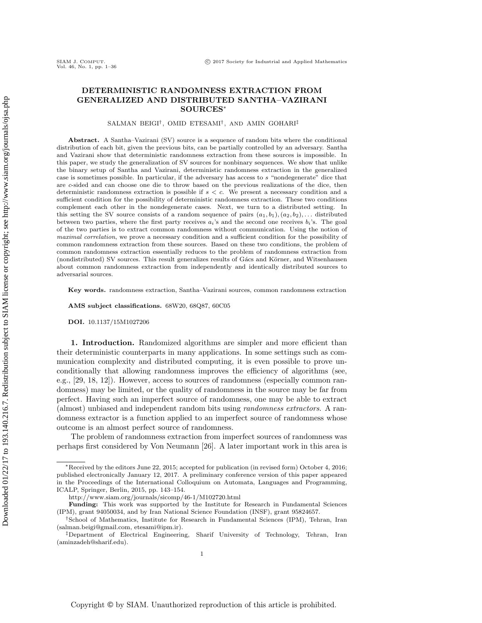# DETERMINISTIC RANDOMNESS EXTRACTION FROM GENERALIZED AND DISTRIBUTED SANTHA–VAZIRANI SOURCES<sup>∗</sup>

SALMAN BEIGI† , OMID ETESAMI† , AND AMIN GOHARI‡

Abstract. A Santha–Vazirani (SV) source is a sequence of random bits where the conditional distribution of each bit, given the previous bits, can be partially controlled by an adversary. Santha and Vazirani show that deterministic randomness extraction from these sources is impossible. In this paper, we study the generalization of SV sources for nonbinary sequences. We show that unlike the binary setup of Santha and Vazirani, deterministic randomness extraction in the generalized case is sometimes possible. In particular, if the adversary has access to s "nondegenerate" dice that are c-sided and can choose one die to throw based on the previous realizations of the dice, then deterministic randomness extraction is possible if  $s < c$ . We present a necessary condition and a sufficient condition for the possibility of deterministic randomness extraction. These two conditions complement each other in the nondegenerate cases. Next, we turn to a distributed setting. In this setting the SV source consists of a random sequence of pairs  $(a_1, b_1), (a_2, b_2), \ldots$  distributed between two parties, where the first party receives  $a_i$ 's and the second one receives  $b_i$ 's. The goal of the two parties is to extract common randomness without communication. Using the notion of maximal correlation, we prove a necessary condition and a sufficient condition for the possibility of common randomness extraction from these sources. Based on these two conditions, the problem of common randomness extraction essentially reduces to the problem of randomness extraction from (nondistributed) SV sources. This result generalizes results of Gács and Körner, and Witsenhausen about common randomness extraction from independently and identically distributed sources to adversarial sources.

Key words. randomness extraction, Santha–Vazirani sources, common randomness extraction

AMS subject classifications. 68W20, 68Q87, 60C05

DOI. 10.1137/15M1027206

1. Introduction. Randomized algorithms are simpler and more efficient than their deterministic counterparts in many applications. In some settings such as communication complexity and distributed computing, it is even possible to prove unconditionally that allowing randomness improves the efficiency of algorithms (see, e.g., [\[29,](#page-35-0) [18,](#page-35-1) [12\]](#page-35-2)). However, access to sources of randomness (especially common randomness) may be limited, or the quality of randomness in the source may be far from perfect. Having such an imperfect source of randomness, one may be able to extract (almost) unbiased and independent random bits using randomness extractors. A randomness extractor is a function applied to an imperfect source of randomness whose outcome is an almost perfect source of randomness.

The problem of randomness extraction from imperfect sources of randomness was perhaps first considered by Von Neumann [\[26\]](#page-35-3). A later important work in this area is

<sup>∗</sup>Received by the editors June 22, 2015; accepted for publication (in revised form) October 4, 2016; published electronically January 12, 2017. A preliminary conference version of this paper appeared in the Proceedings of the International Colloquium on Automata, Languages and Programming, ICALP, Springer, Berlin, 2015, pp. 143–154.

<http://www.siam.org/journals/sicomp/46-1/M102720.html>

Funding: This work was supported by the Institute for Research in Fundamental Sciences (IPM), grant 94050034, and by Iran National Science Foundation (INSF), grant 95824657.

<sup>†</sup>School of Mathematics, Institute for Research in Fundamental Sciences (IPM), Tehran, Iran [\(salman.beigi@gmail.com,](mailto:salman.beigi@gmail.com) [etesami@ipm.ir\)](mailto:etesami@ipm.ir).

<sup>‡</sup>Department of Electrical Engineering, Sharif University of Technology, Tehran, Iran [\(aminzadeh@sharif.edu\)](mailto:aminzadeh@sharif.edu).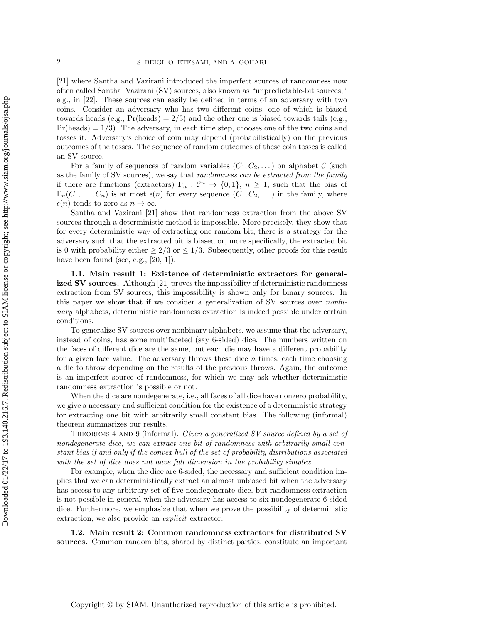[\[21\]](#page-35-4) where Santha and Vazirani introduced the imperfect sources of randomness now often called Santha–Vazirani (SV) sources, also known as "unpredictable-bit sources," e.g., in [\[22\]](#page-35-5). These sources can easily be defined in terms of an adversary with two coins. Consider an adversary who has two different coins, one of which is biased towards heads (e.g.,  $Pr(\text{heads}) = 2/3$ ) and the other one is biased towards tails (e.g.,  $Pr(\text{heads}) = 1/3$ . The adversary, in each time step, chooses one of the two coins and tosses it. Adversary's choice of coin may depend (probabilistically) on the previous outcomes of the tosses. The sequence of random outcomes of these coin tosses is called an SV source.

For a family of sequences of random variables  $(C_1, C_2, \ldots)$  on alphabet C (such as the family of SV sources), we say that randomness can be extracted from the family if there are functions (extractors)  $\Gamma_n$ :  $\mathcal{C}^n \to \{0,1\}$ ,  $n \geq 1$ , such that the bias of  $\Gamma_n(C_1,\ldots,C_n)$  is at most  $\epsilon(n)$  for every sequence  $(C_1, C_2, \ldots)$  in the family, where  $\epsilon(n)$  tends to zero as  $n \to \infty$ .

Santha and Vazirani [\[21\]](#page-35-4) show that randomness extraction from the above SV sources through a deterministic method is impossible. More precisely, they show that for every deterministic way of extracting one random bit, there is a strategy for the adversary such that the extracted bit is biased or, more specifically, the extracted bit is 0 with probability either  $\geq 2/3$  or  $\leq 1/3$ . Subsequently, other proofs for this result have been found (see, e.g.,  $[20, 1]$  $[20, 1]$ ).

1.1. Main result 1: Existence of deterministic extractors for generalized SV sources. Although [\[21\]](#page-35-4) proves the impossibility of deterministic randomness extraction from SV sources, this impossibility is shown only for binary sources. In this paper we show that if we consider a generalization of SV sources over nonbinary alphabets, deterministic randomness extraction is indeed possible under certain conditions.

To generalize SV sources over nonbinary alphabets, we assume that the adversary, instead of coins, has some multifaceted (say 6-sided) dice. The numbers written on the faces of different dice are the same, but each die may have a different probability for a given face value. The adversary throws these dice  $n$  times, each time choosing a die to throw depending on the results of the previous throws. Again, the outcome is an imperfect source of randomness, for which we may ask whether deterministic randomness extraction is possible or not.

When the dice are nondegenerate, i.e., all faces of all dice have nonzero probability, we give a necessary and sufficient condition for the existence of a deterministic strategy for extracting one bit with arbitrarily small constant bias. The following (informal) theorem summarizes our results.

THEOREMS 4 AND [9](#page-9-0) (informal). Given a generalized SV source defined by a set of nondegenerate dice, we can extract one bit of randomness with arbitrarily small constant bias if and only if the convex hull of the set of probability distributions associated with the set of dice does not have full dimension in the probability simplex.

For example, when the dice are 6-sided, the necessary and sufficient condition implies that we can deterministically extract an almost unbiased bit when the adversary has access to any arbitrary set of five nondegenerate dice, but randomness extraction is not possible in general when the adversary has access to six nondegenerate 6-sided dice. Furthermore, we emphasize that when we prove the possibility of deterministic extraction, we also provide an *explicit* extractor.

1.2. Main result 2: Common randomness extractors for distributed SV sources. Common random bits, shared by distinct parties, constitute an important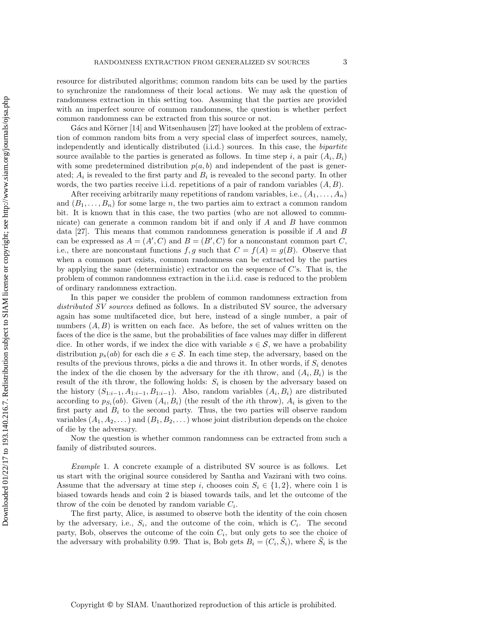resource for distributed algorithms; common random bits can be used by the parties to synchronize the randomness of their local actions. We may ask the question of randomness extraction in this setting too. Assuming that the parties are provided with an imperfect source of common randomness, the question is whether perfect common randomness can be extracted from this source or not.

Gács and Körner  $[14]$  and Witsenhausen  $[27]$  have looked at the problem of extraction of common random bits from a very special class of imperfect sources, namely, independently and identically distributed (i.i.d.) sources. In this case, the bipartite source available to the parties is generated as follows. In time step i, a pair  $(A_i, B_i)$ with some predetermined distribution  $p(a, b)$  and independent of the past is generated;  $A_i$  is revealed to the first party and  $B_i$  is revealed to the second party. In other words, the two parties receive i.i.d. repetitions of a pair of random variables  $(A, B)$ .

After receiving arbitrarily many repetitions of random variables, i.e.,  $(A_1, \ldots, A_n)$ and  $(B_1, \ldots, B_n)$  for some large n, the two parties aim to extract a common random bit. It is known that in this case, the two parties (who are not allowed to communicate) can generate a common random bit if and only if  $A$  and  $B$  have common data [\[27\]](#page-35-8). This means that common randomness generation is possible if A and B can be expressed as  $A = (A', C)$  and  $B = (B', C)$  for a nonconstant common part C, i.e., there are nonconstant functions  $f, g$  such that  $C = f(A) = g(B)$ . Observe that when a common part exists, common randomness can be extracted by the parties by applying the same (deterministic) extractor on the sequence of C's. That is, the problem of common randomness extraction in the i.i.d. case is reduced to the problem of ordinary randomness extraction.

In this paper we consider the problem of common randomness extraction from distributed SV sources defined as follows. In a distributed SV source, the adversary again has some multifaceted dice, but here, instead of a single number, a pair of numbers  $(A, B)$  is written on each face. As before, the set of values written on the faces of the dice is the same, but the probabilities of face values may differ in different dice. In other words, if we index the dice with variable  $s \in \mathcal{S}$ , we have a probability distribution  $p_s(ab)$  for each die  $s \in \mathcal{S}$ . In each time step, the adversary, based on the results of the previous throws, picks a die and throws it. In other words, if  $S_i$  denotes the index of the die chosen by the adversary for the *i*th throw, and  $(A_i, B_i)$  is the result of the *i*th throw, the following holds:  $S_i$  is chosen by the adversary based on the history  $(S_{1:i-1}, A_{1:i-1}, B_{1:i-1})$ . Also, random variables  $(A_i, B_i)$  are distributed according to  $p_{S_i}(ab)$ . Given  $(A_i, B_i)$  (the result of the *i*th throw),  $A_i$  is given to the first party and  $B_i$  to the second party. Thus, the two parties will observe random variables  $(A_1, A_2, \ldots)$  and  $(B_1, B_2, \ldots)$  whose joint distribution depends on the choice of die by the adversary.

Now the question is whether common randomness can be extracted from such a family of distributed sources.

<span id="page-2-0"></span>Example 1. A concrete example of a distributed SV source is as follows. Let us start with the original source considered by Santha and Vazirani with two coins. Assume that the adversary at time step i, chooses coin  $S_i \in \{1,2\}$ , where coin 1 is biased towards heads and coin 2 is biased towards tails, and let the outcome of the throw of the coin be denoted by random variable  $C_i$ .

The first party, Alice, is assumed to observe both the identity of the coin chosen by the adversary, i.e.,  $S_i$ , and the outcome of the coin, which is  $C_i$ . The second party, Bob, observes the outcome of the coin  $C_i$ , but only gets to see the choice of the adversary with probability 0.99. That is, Bob gets  $B_i = (C_i, \tilde{S}_i)$ , where  $\tilde{S}_i$  is the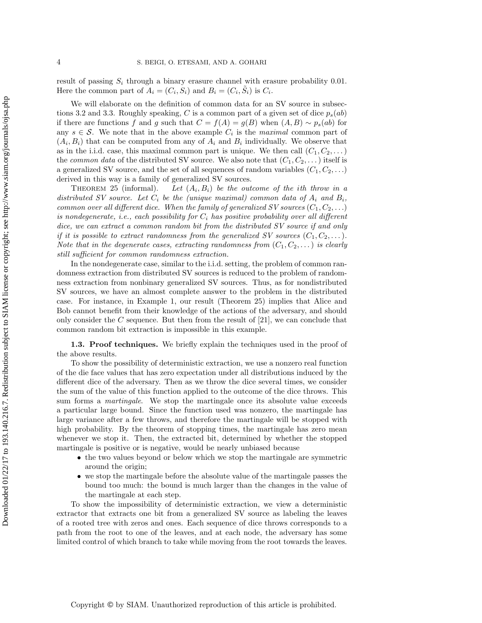result of passing  $S_i$  through a binary erasure channel with erasure probability 0.01. Here the common part of  $A_i = (C_i, S_i)$  and  $B_i = (C_i, \tilde{S}_i)$  is  $C_i$ .

We will elaborate on the definition of common data for an SV source in [subsec](#page-18-0)[tions 3.2](#page-18-0) and [3.3.](#page-20-0) Roughly speaking, C is a common part of a given set of dice  $p_s(ab)$ if there are functions f and g such that  $C = f(A) = g(B)$  when  $(A, B) \sim p_s(ab)$  for any  $s \in \mathcal{S}$ . We note that in the above example  $C_i$  is the *maximal* common part of  $(A_i, B_i)$  that can be computed from any of  $A_i$  and  $B_i$  individually. We observe that as in the i.i.d. case, this maximal common part is unique. We then call  $(C_1, C_2, \dots)$ the *common data* of the distributed SV source. We also note that  $(C_1, C_2, \ldots)$  itself is a generalized SV source, and the set of all sequences of random variables  $(C_1, C_2, \ldots)$ derived in this way is a family of generalized SV sources.

THEOREM  $25$  (informal). Let  $(A_i, B_i)$  be the outcome of the ith throw in a distributed SV source. Let  $C_i$  be the (unique maximal) common data of  $A_i$  and  $B_i$ , common over all different dice. When the family of generalized SV sources  $(C_1, C_2, ...)$ is nondegenerate, i.e., each possibility for  $C_i$  has positive probability over all different dice, we can extract a common random bit from the distributed SV source if and only if it is possible to extract randomness from the generalized SV sources  $(C_1, C_2, \ldots)$ . Note that in the degenerate cases, extracting randomness from  $(C_1, C_2, \ldots)$  is clearly still sufficient for common randomness extraction.

In the nondegenerate case, similar to the i.i.d. setting, the problem of common randomness extraction from distributed SV sources is reduced to the problem of randomness extraction from nonbinary generalized SV sources. Thus, as for nondistributed SV sources, we have an almost complete answer to the problem in the distributed case. For instance, in [Example 1,](#page-2-0) our result [\(Theorem 25\)](#page-21-0) implies that Alice and Bob cannot benefit from their knowledge of the actions of the adversary, and should only consider the  $C$  sequence. But then from the result of [\[21\]](#page-35-4), we can conclude that common random bit extraction is impossible in this example.

**1.3. Proof techniques.** We briefly explain the techniques used in the proof of the above results.

To show the possibility of deterministic extraction, we use a nonzero real function of the die face values that has zero expectation under all distributions induced by the different dice of the adversary. Then as we throw the dice several times, we consider the sum of the value of this function applied to the outcome of the dice throws. This sum forms a *martingale*. We stop the martingale once its absolute value exceeds a particular large bound. Since the function used was nonzero, the martingale has large variance after a few throws, and therefore the martingale will be stopped with high probability. By the theorem of stopping times, the martingale has zero mean whenever we stop it. Then, the extracted bit, determined by whether the stopped martingale is positive or is negative, would be nearly unbiased because

- the two values beyond or below which we stop the martingale are symmetric around the origin;
- we stop the martingale before the absolute value of the martingale passes the bound too much: the bound is much larger than the changes in the value of the martingale at each step.

To show the impossibility of deterministic extraction, we view a deterministic extractor that extracts one bit from a generalized SV source as labeling the leaves of a rooted tree with zeros and ones. Each sequence of dice throws corresponds to a path from the root to one of the leaves, and at each node, the adversary has some limited control of which branch to take while moving from the root towards the leaves.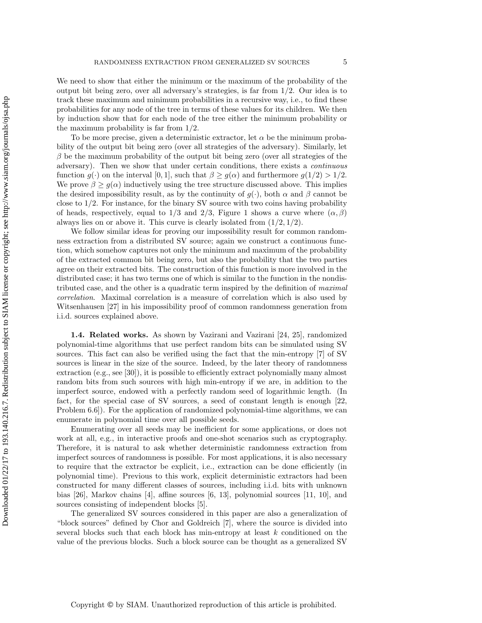We need to show that either the minimum or the maximum of the probability of the output bit being zero, over all adversary's strategies, is far from  $1/2$ . Our idea is to track these maximum and minimum probabilities in a recursive way, i.e., to find these probabilities for any node of the tree in terms of these values for its children. We then by induction show that for each node of the tree either the minimum probability or the maximum probability is far from 1/2.

To be more precise, given a deterministic extractor, let  $\alpha$  be the minimum probability of the output bit being zero (over all strategies of the adversary). Similarly, let  $\beta$  be the maximum probability of the output bit being zero (over all strategies of the adversary). Then we show that under certain conditions, there exists a continuous function  $g(\cdot)$  on the interval [0, 1], such that  $\beta \ge g(\alpha)$  and furthermore  $g(1/2) > 1/2$ . We prove  $\beta \geq g(\alpha)$  inductively using the tree structure discussed above. This implies the desired impossibility result, as by the continuity of  $g(\cdot)$ , both  $\alpha$  and  $\beta$  cannot be close to 1/2. For instance, for the binary SV source with two coins having probability of heads, respectively, equal to 1/3 and 2/3, [Figure 1](#page-12-0) shows a curve where  $(\alpha, \beta)$ always lies on or above it. This curve is clearly isolated from  $(1/2, 1/2)$ .

We follow similar ideas for proving our impossibility result for common randomness extraction from a distributed SV source; again we construct a continuous function, which somehow captures not only the minimum and maximum of the probability of the extracted common bit being zero, but also the probability that the two parties agree on their extracted bits. The construction of this function is more involved in the distributed case; it has two terms one of which is similar to the function in the nondistributed case, and the other is a quadratic term inspired by the definition of maximal correlation. Maximal correlation is a measure of correlation which is also used by Witsenhausen [\[27\]](#page-35-8) in his impossibility proof of common randomness generation from i.i.d. sources explained above.

1.4. Related works. As shown by Vazirani and Vazirani [\[24,](#page-35-9) [25\]](#page-35-10), randomized polynomial-time algorithms that use perfect random bits can be simulated using SV sources. This fact can also be verified using the fact that the min-entropy [\[7\]](#page-34-1) of SV sources is linear in the size of the source. Indeed, by the later theory of randomness extraction (e.g., see [\[30\]](#page-35-11)), it is possible to efficiently extract polynomially many almost random bits from such sources with high min-entropy if we are, in addition to the imperfect source, endowed with a perfectly random seed of logarithmic length. (In fact, for the special case of SV sources, a seed of constant length is enough [\[22,](#page-35-5) Problem 6.6]). For the application of randomized polynomial-time algorithms, we can enumerate in polynomial time over all possible seeds.

Enumerating over all seeds may be inefficient for some applications, or does not work at all, e.g., in interactive proofs and one-shot scenarios such as cryptography. Therefore, it is natural to ask whether deterministic randomness extraction from imperfect sources of randomness is possible. For most applications, it is also necessary to require that the extractor be explicit, i.e., extraction can be done efficiently (in polynomial time). Previous to this work, explicit deterministic extractors had been constructed for many different classes of sources, including i.i.d. bits with unknown bias [\[26\]](#page-35-3), Markov chains [\[4\]](#page-34-2), affine sources [\[6,](#page-34-3) [13\]](#page-35-12), polynomial sources [\[11,](#page-35-13) [10\]](#page-35-14), and sources consisting of independent blocks [\[5\]](#page-34-4).

The generalized SV sources considered in this paper are also a generalization of "block sources" defined by Chor and Goldreich [\[7\]](#page-34-1), where the source is divided into several blocks such that each block has min-entropy at least  $k$  conditioned on the value of the previous blocks. Such a block source can be thought as a generalized SV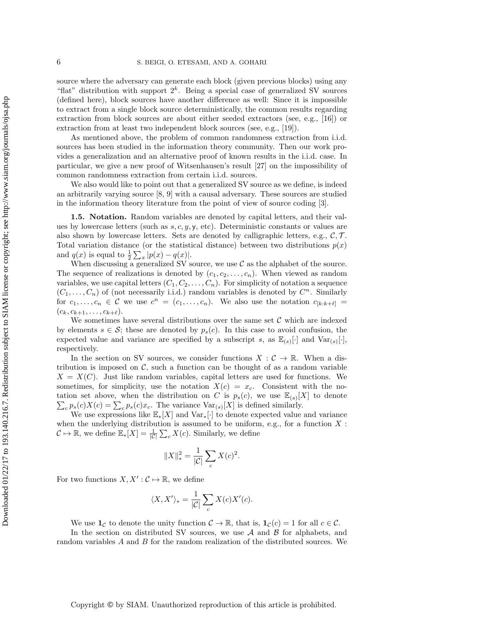source where the adversary can generate each block (given previous blocks) using any "flat" distribution with support  $2^k$ . Being a special case of generalized SV sources (defined here), block sources have another difference as well: Since it is impossible to extract from a single block source deterministically, the common results regarding extraction from block sources are about either seeded extractors (see, e.g., [\[16\]](#page-35-15)) or extraction from at least two independent block sources (see, e.g., [\[19\]](#page-35-16)).

As mentioned above, the problem of common randomness extraction from i.i.d. sources has been studied in the information theory community. Then our work provides a generalization and an alternative proof of known results in the i.i.d. case. In particular, we give a new proof of Witsenhausen's result [\[27\]](#page-35-8) on the impossibility of common randomness extraction from certain i.i.d. sources.

We also would like to point out that a generalized SV source as we define, is indeed an arbitrarily varying source [\[8,](#page-35-17) [9\]](#page-35-18) with a causal adversary. These sources are studied in the information theory literature from the point of view of source coding [\[3\]](#page-34-5).

1.5. Notation. Random variables are denoted by capital letters, and their values by lowercase letters (such as  $s, c, y, y$ , etc). Deterministic constants or values are also shown by lowercase letters. Sets are denoted by calligraphic letters, e.g.,  $\mathcal{C}, \mathcal{T}$ . Total variation distance (or the statistical distance) between two distributions  $p(x)$ and  $q(x)$  is equal to  $\frac{1}{2} \sum_{x} |p(x) - q(x)|$ .

When discussing a generalized SV source, we use  $\mathcal C$  as the alphabet of the source. The sequence of realizations is denoted by  $(c_1, c_2, \ldots, c_n)$ . When viewed as random variables, we use capital letters  $(C_1, C_2, \ldots, C_n)$ . For simplicity of notation a sequence  $(C_1, \ldots, C_n)$  of (not necessarily i.i.d.) random variables is denoted by  $C^n$ . Similarly for  $c_1, \ldots, c_n \in \mathcal{C}$  we use  $c^n = (c_1, \ldots, c_n)$ . We also use the notation  $c_{[k:k+\ell]} =$  $(c_k, c_{k+1}, \ldots, c_{k+\ell}).$ 

We sometimes have several distributions over the same set  $\mathcal C$  which are indexed by elements  $s \in \mathcal{S}$ ; these are denoted by  $p_s(c)$ . In this case to avoid confusion, the expected value and variance are specified by a subscript s, as  $\mathbb{E}_{(s)}[\cdot]$  and  $\text{Var}_{(s)}[\cdot]$ , respectively.

In the section on SV sources, we consider functions  $X : \mathcal{C} \to \mathbb{R}$ . When a distribution is imposed on  $\mathcal{C}$ , such a function can be thought of as a random variable  $X = X(C)$ . Just like random variables, capital letters are used for functions. We sometimes, for simplicity, use the notation  $X(c) = x_c$ . Consistent with the notation set above, when the distribution on C is  $p_s(c)$ , we use  $\mathbb{E}_{(s)}[X]$  to denote  $\sum_c p_s(c)X(c) = \sum_c p_s(c)x_c$ . The variance  $Var_{(s)}[X]$  is defined similarly.

We use expressions like  $\mathbb{E}_*[X]$  and  $\text{Var}_*[\cdot]$  to denote expected value and variance when the underlying distribution is assumed to be uniform, e.g., for a function  $X$ :  $\mathcal{C} \mapsto \mathbb{R}$ , we define  $\mathbb{E}_*[X] = \frac{1}{|\mathcal{C}|} \sum_c X(c)$ . Similarly, we define

$$
||X||_*^2 = \frac{1}{|\mathcal{C}|} \sum_c X(c)^2.
$$

For two functions  $X, X' : \mathcal{C} \mapsto \mathbb{R}$ , we define

$$
\langle X, X' \rangle_* = \frac{1}{|\mathcal{C}|} \sum_c X(c) X'(c).
$$

We use  $\mathbf{1}_{\mathcal{C}}$  to denote the unity function  $\mathcal{C} \to \mathbb{R}$ , that is,  $\mathbf{1}_{\mathcal{C}}(c) = 1$  for all  $c \in \mathcal{C}$ .

In the section on distributed SV sources, we use  $A$  and  $B$  for alphabets, and random variables A and B for the random realization of the distributed sources. We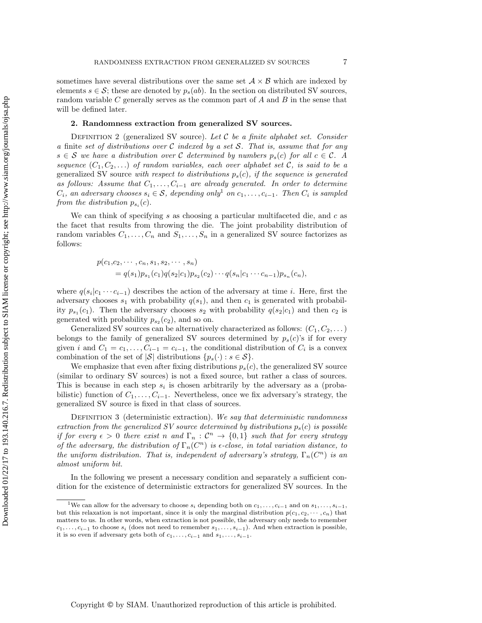sometimes have several distributions over the same set  $A \times B$  which are indexed by elements  $s \in \mathcal{S}$ ; these are denoted by  $p_s(ab)$ . In the section on distributed SV sources, random variable  $C$  generally serves as the common part of  $A$  and  $B$  in the sense that will be defined later.

### 2. Randomness extraction from generalized SV sources.

DEFINITION 2 (generalized SV source). Let  $C$  be a finite alphabet set. Consider a finite set of distributions over  $\mathcal C$  indexed by a set  $\mathcal S$ . That is, assume that for any  $s \in S$  we have a distribution over C determined by numbers  $p_s(c)$  for all  $c \in C$ . A sequence  $(C_1, C_2, \ldots)$  of random variables, each over alphabet set C, is said to be a generalized SV source with respect to distributions  $p_s(c)$ , if the sequence is generated as follows: Assume that  $C_1, \ldots, C_{i-1}$  are already generated. In order to determine  $C_i$ , an adversary chooses  $s_i \in \mathcal{S}$ , depending only<sup>[1](#page-6-0)</sup> on  $c_1, \ldots, c_{i-1}$ . Then  $C_i$  is sampled from the distribution  $p_{s_i}(c)$ .

We can think of specifying s as choosing a particular multifaceted die, and  $c$  as the facet that results from throwing the die. The joint probability distribution of random variables  $C_1, \ldots, C_n$  and  $S_1, \ldots, S_n$  in a generalized SV source factorizes as follows:

$$
p(c_1, c_2, \cdots, c_n, s_1, s_2, \cdots, s_n)
$$
  
=  $q(s_1)p_{s_1}(c_1)q(s_2|c_1)p_{s_2}(c_2)\cdots q(s_n|c_1\cdots c_{n-1})p_{s_n}(c_n),$ 

where  $q(s_i|c_1 \cdots c_{i-1})$  describes the action of the adversary at time i. Here, first the adversary chooses  $s_1$  with probability  $q(s_1)$ , and then  $c_1$  is generated with probability  $p_{s_1}(c_1)$ . Then the adversary chooses  $s_2$  with probability  $q(s_2|c_1)$  and then  $c_2$  is generated with probability  $p_{s_2}(c_2)$ , and so on.

Generalized SV sources can be alternatively characterized as follows:  $(C_1, C_2, \dots)$ belongs to the family of generalized SV sources determined by  $p_s(c)$ 's if for every given i and  $C_1 = c_1, \ldots, C_{i-1} = c_{i-1}$ , the conditional distribution of  $C_i$  is a convex combination of the set of  $|\mathcal{S}|$  distributions  $\{p_s(\cdot): s \in \mathcal{S}\}.$ 

We emphasize that even after fixing distributions  $p_s(c)$ , the generalized SV source (similar to ordinary SV sources) is not a fixed source, but rather a class of sources. This is because in each step  $s_i$  is chosen arbitrarily by the adversary as a (probabilistic) function of  $C_1, \ldots, C_{i-1}$ . Nevertheless, once we fix adversary's strategy, the generalized SV source is fixed in that class of sources.

DEFINITION 3 (deterministic extraction). We say that deterministic randomness extraction from the generalized SV source determined by distributions  $p_s(c)$  is possible if for every  $\epsilon > 0$  there exist n and  $\Gamma_n : \mathcal{C}^n \to \{0,1\}$  such that for every strategy of the adversary, the distribution of  $\Gamma_n(C^n)$  is  $\epsilon$ -close, in total variation distance, to the uniform distribution. That is, independent of adversary's strategy,  $\Gamma_n(C^n)$  is an almost uniform bit.

In the following we present a necessary condition and separately a sufficient condition for the existence of deterministic extractors for generalized SV sources. In the

<span id="page-6-0"></span><sup>&</sup>lt;sup>1</sup>We can allow for the adversary to choose  $s_i$  depending both on  $c_1, \ldots, c_{i-1}$  and on  $s_1, \ldots, s_{i-1}$ , but this relaxation is not important, since it is only the marginal distribution  $p(c_1, c_2, \dots, c_n)$  that matters to us. In other words, when extraction is not possible, the adversary only needs to remember  $c_1, \ldots, c_{i-1}$  to choose  $s_i$  (does not need to remember  $s_1, \ldots, s_{i-1}$ ). And when extraction is possible, it is so even if adversary gets both of  $c_1, \ldots, c_{i-1}$  and  $s_1, \ldots, s_{i-1}$ .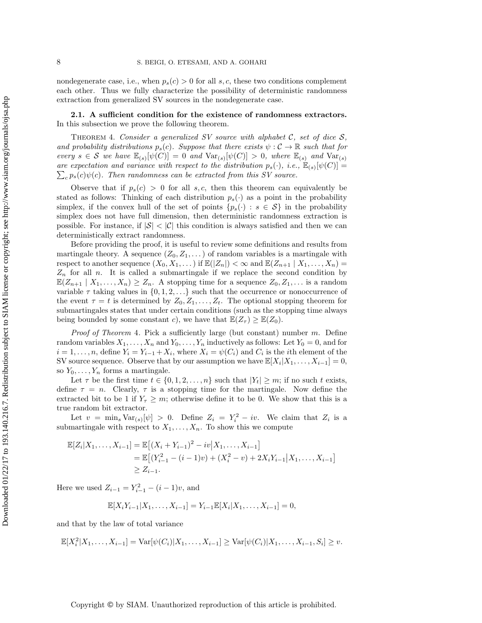nondegenerate case, i.e., when  $p_s(c) > 0$  for all s, c, these two conditions complement each other. Thus we fully characterize the possibility of deterministic randomness extraction from generalized SV sources in the nondegenerate case.

2.1. A sufficient condition for the existence of randomness extractors. In this subsection we prove the following theorem.

<span id="page-7-0"></span>THEOREM 4. Consider a generalized SV source with alphabet C, set of dice  $S$ , and probability distributions  $p_s(c)$ . Suppose that there exists  $\psi : C \to \mathbb{R}$  such that for every  $s \in \mathcal{S}$  we have  $\mathbb{E}_{(s)}[\psi(C)] = 0$  and  $\text{Var}_{(s)}[\psi(C)] > 0$ , where  $\mathbb{E}_{(s)}$  and  $\text{Var}_{(s)}$ are expectation and variance with respect to the distribution  $p_s(\cdot)$ , i.e.,  $\mathbb{E}_{(s)}[\psi(C)] =$  $\sum_{c} p_s(c) \psi(c)$ . Then randomness can be extracted from this SV source.

Observe that if  $p_s(c) > 0$  for all s, c, then this theorem can equivalently be stated as follows: Thinking of each distribution  $p_s(\cdot)$  as a point in the probability simplex, if the convex hull of the set of points  $\{p_s(\cdot) : s \in \mathcal{S}\}\$ in the probability simplex does not have full dimension, then deterministic randomness extraction is possible. For instance, if  $|S| < |\mathcal{C}|$  this condition is always satisfied and then we can deterministically extract randomness.

Before providing the proof, it is useful to review some definitions and results from martingale theory. A sequence  $(Z_0, Z_1, \dots)$  of random variables is a martingale with respect to another sequence  $(X_0, X_1, \dots)$  if  $\mathbb{E}(|Z_n|) < \infty$  and  $\mathbb{E}(Z_{n+1} | X_1, \dots, X_n) =$  $Z_n$  for all n. It is called a submartingale if we replace the second condition by  $\mathbb{E}(Z_{n+1} | X_1,\ldots,X_n) \geq Z_n$ . A stopping time for a sequence  $Z_0, Z_1, \ldots$  is a random variable  $\tau$  taking values in  $\{0, 1, 2, \ldots\}$  such that the occurrence or nonoccurrence of the event  $\tau = t$  is determined by  $Z_0, Z_1, \ldots, Z_t$ . The optional stopping theorem for submartingales states that under certain conditions (such as the stopping time always being bounded by some constant c), we have that  $\mathbb{E}(Z_{\tau}) \geq \mathbb{E}(Z_0)$ .

*Proof of [Theorem](#page-7-0) 4.* Pick a sufficiently large (but constant) number  $m$ . Define random variables  $X_1, \ldots, X_n$  and  $Y_0, \ldots, Y_n$  inductively as follows: Let  $Y_0 = 0$ , and for  $i = 1, \ldots, n$ , define  $Y_i = Y_{i-1} + X_i$ , where  $X_i = \psi(C_i)$  and  $C_i$  is the *i*th element of the SV source sequence. Observe that by our assumption we have  $\mathbb{E}[X_i|X_1,\ldots,X_{i-1}] = 0$ , so  $Y_0, \ldots, Y_n$  forms a martingale.

Let  $\tau$  be the first time  $t \in \{0, 1, 2, \ldots, n\}$  such that  $|Y_t| \geq m$ ; if no such t exists, define  $\tau = n$ . Clearly,  $\tau$  is a stopping time for the martingale. Now define the extracted bit to be 1 if  $Y_\tau \geq m$ ; otherwise define it to be 0. We show that this is a true random bit extractor.

Let  $v = \min_s \text{Var}_{(s)}[\psi] > 0$ . Define  $Z_i = Y_i^2 - iv$ . We claim that  $Z_i$  is a submartingale with respect to  $X_1, \ldots, X_n$ . To show this we compute

$$
\mathbb{E}[Z_i|X_1,\ldots,X_{i-1}] = \mathbb{E}[(X_i+Y_{i-1})^2 - iv|X_1,\ldots,X_{i-1}]
$$
  
=  $\mathbb{E}[(Y_{i-1}^2 - (i-1)v) + (X_i^2 - v) + 2X_iY_{i-1}|X_1,\ldots,X_{i-1}]$   
 $\geq Z_{i-1}.$ 

Here we used  $Z_{i-1} = Y_{i-1}^2 - (i-1)v$ , and

$$
\mathbb{E}[X_iY_{i-1}|X_1,\ldots,X_{i-1}] = Y_{i-1}\mathbb{E}[X_i|X_1,\ldots,X_{i-1}] = 0,
$$

and that by the law of total variance

$$
\mathbb{E}[X_i^2 | X_1, \dots, X_{i-1}] = \text{Var}[\psi(C_i) | X_1, \dots, X_{i-1}] \geq \text{Var}[\psi(C_i) | X_1, \dots, X_{i-1}, S_i] \geq v.
$$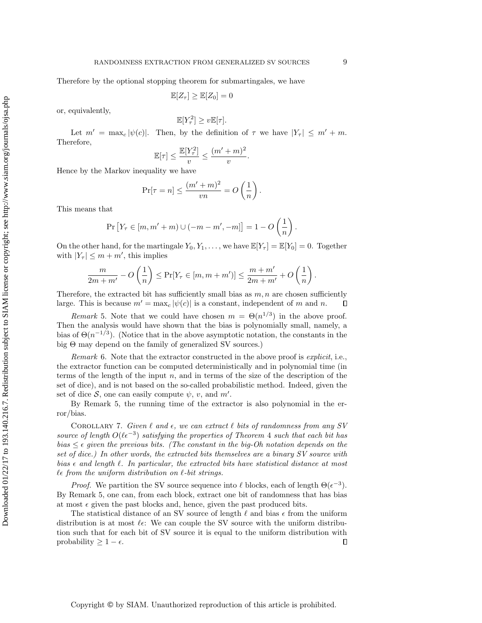Therefore by the optional stopping theorem for submartingales, we have

 $\mathbb{E}[Z_{\tau}] \geq \mathbb{E}[Z_0] = 0$ 

or, equivalently,

$$
\mathbb{E}[Y_{\tau}^2] \ge v \mathbb{E}[\tau].
$$

Let  $m' = \max_c |\psi(c)|$ . Then, by the definition of  $\tau$  we have  $|Y_\tau| \leq m' + m$ . Therefore,

$$
\mathbb{E}[\tau] \le \frac{\mathbb{E}[Y_\tau^2]}{v} \le \frac{(m' + m)^2}{v}.
$$

Hence by the Markov inequality we have

$$
\Pr[\tau = n] \le \frac{(m' + m)^2}{vn} = O\left(\frac{1}{n}\right).
$$

This means that

$$
\Pr[Y_{\tau} \in [m, m' + m) \cup (-m - m', -m]] = 1 - O\left(\frac{1}{n}\right).
$$

On the other hand, for the martingale  $Y_0, Y_1, \ldots$ , we have  $\mathbb{E}[Y_\tau] = \mathbb{E}[Y_0] = 0$ . Together with  $|Y_\tau| \leq m + m'$ , this implies

$$
\frac{m}{2m+m'}-O\left(\frac{1}{n}\right)\leq \Pr[Y_{\tau}\in [m,m+m')] \leq \frac{m+m'}{2m+m'}+O\left(\frac{1}{n}\right).
$$

Therefore, the extracted bit has sufficiently small bias as  $m, n$  are chosen sufficiently large. This is because  $m' = \max_c |\psi(c)|$  is a constant, independent of m and n.  $\Box$ 

<span id="page-8-0"></span>Remark 5. Note that we could have chosen  $m = \Theta(n^{1/3})$  in the above proof. Then the analysis would have shown that the bias is polynomially small, namely, a bias of  $\Theta(n^{-1/3})$ . (Notice that in the above asymptotic notation, the constants in the big Θ may depend on the family of generalized SV sources.)

Remark 6. Note that the extractor constructed in the above proof is *explicit*, i.e., the extractor function can be computed deterministically and in polynomial time (in terms of the length of the input  $n$ , and in terms of the size of the description of the set of dice), and is not based on the so-called probabilistic method. Indeed, given the set of dice  $S$ , one can easily compute  $\psi$ ,  $v$ , and  $m'$ .

By [Remark 5,](#page-8-0) the running time of the extractor is also polynomial in the error/bias.

COROLLARY 7. Given  $\ell$  and  $\epsilon$ , we can extract  $\ell$  bits of randomness from any SV source of length  $O(\ell \epsilon^{-3})$  satisfying the properties of [Theorem](#page-7-0) 4 such that each bit has bias  $\leq \epsilon$  given the previous bits. (The constant in the big-Oh notation depends on the set of dice.) In other words, the extracted bits themselves are a binary SV source with bias  $\epsilon$  and length  $\ell$ . In particular, the extracted bits have statistical distance at most  $\ell \epsilon$  from the uniform distribution on  $\ell$ -bit strings.

*Proof.* We partition the SV source sequence into  $\ell$  blocks, each of length  $\Theta(\epsilon^{-3})$ . By [Remark 5,](#page-8-0) one can, from each block, extract one bit of randomness that has bias at most  $\epsilon$  given the past blocks and, hence, given the past produced bits.

The statistical distance of an SV source of length  $\ell$  and bias  $\epsilon$  from the uniform distribution is at most  $\ell \in \mathbb{R}$  We can couple the SV source with the uniform distribution such that for each bit of SV source it is equal to the uniform distribution with  $\Box$ probability  $\geq 1 - \epsilon$ .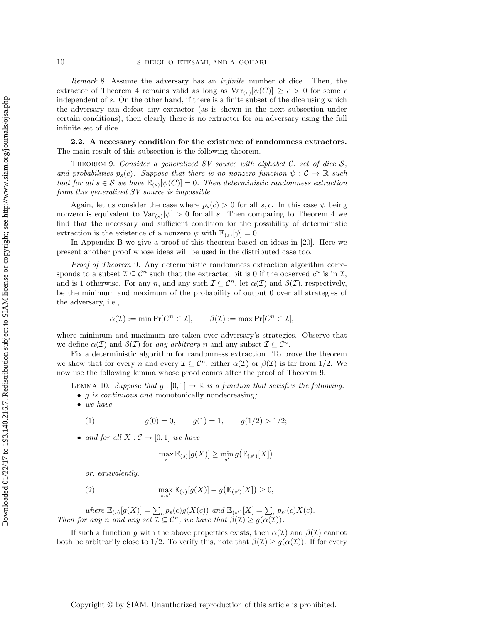Remark 8. Assume the adversary has an infinite number of dice. Then, the extractor of [Theorem 4](#page-7-0) remains valid as long as  $Var_{(s)}[\psi(C)] \geq \epsilon > 0$  for some  $\epsilon$ independent of s. On the other hand, if there is a finite subset of the dice using which the adversary can defeat any extractor (as is shown in the next subsection under certain conditions), then clearly there is no extractor for an adversary using the full infinite set of dice.

2.2. A necessary condition for the existence of randomness extractors. The main result of this subsection is the following theorem.

<span id="page-9-0"></span>THEOREM 9. Consider a generalized SV source with alphabet C, set of dice  $S$ , and probabilities  $p_s(c)$ . Suppose that there is no nonzero function  $\psi : \mathcal{C} \to \mathbb{R}$  such that for all  $s \in \mathcal{S}$  we have  $\mathbb{E}_{(s)}[\psi(C)] = 0$ . Then deterministic randomness extraction from this generalized SV source is impossible.

Again, let us consider the case where  $p_s(c) > 0$  for all s, c. In this case  $\psi$  being nonzero is equivalent to  $Var_{(s)}[\psi] > 0$  for all s. Then comparing to [Theorem 4](#page-7-0) we find that the necessary and sufficient condition for the possibility of deterministic extraction is the existence of a nonzero  $\psi$  with  $\mathbb{E}_{(s)}[\psi]=0$ .

In [Appendix B](#page-33-0) we give a proof of this theorem based on ideas in [\[20\]](#page-35-6). Here we present another proof whose ideas will be used in the distributed case too.

Proof of [Theorem](#page-9-0) 9. Any deterministic randomness extraction algorithm corresponds to a subset  $\mathcal{I} \subseteq \mathcal{C}^n$  such that the extracted bit is 0 if the observed  $c^n$  is in  $\mathcal{I}$ , and is 1 otherwise. For any n, and any such  $\mathcal{I} \subseteq \mathcal{C}^n$ , let  $\alpha(\mathcal{I})$  and  $\beta(\mathcal{I})$ , respectively, be the minimum and maximum of the probability of output 0 over all strategies of the adversary, i.e.,

$$
\alpha(\mathcal{I}) := \min \Pr[C^n \in \mathcal{I}], \qquad \beta(\mathcal{I}) := \max \Pr[C^n \in \mathcal{I}],
$$

where minimum and maximum are taken over adversary's strategies. Observe that we define  $\alpha(\mathcal{I})$  and  $\beta(\mathcal{I})$  for any arbitrary n and any subset  $\mathcal{I} \subseteq \mathcal{C}^n$ .

Fix a deterministic algorithm for randomness extraction. To prove the theorem we show that for every n and every  $\mathcal{I} \subseteq \mathcal{C}^n$ , either  $\alpha(\mathcal{I})$  or  $\beta(\mathcal{I})$  is far from 1/2. We now use the following lemma whose proof comes after the proof of [Theorem 9.](#page-9-0)

<span id="page-9-3"></span>LEMMA 10. Suppose that  $g:[0,1] \to \mathbb{R}$  is a function that satisfies the following:

- *g is continuous and* monotonically nondecreasing;
- we have

<span id="page-9-1"></span>(1) 
$$
g(0) = 0
$$
,  $g(1) = 1$ ,  $g(1/2) > 1/2$ ;

• and for all  $X: \mathcal{C} \to [0,1]$  we have

$$
\max_{s} \mathbb{E}_{(s)}[g(X)] \ge \min_{s'} g\big(\mathbb{E}_{(s')}[X]\big)
$$

or, equivalently,

<span id="page-9-2"></span>(2) 
$$
\max_{s,s'} \mathbb{E}_{(s)}[g(X)] - g(\mathbb{E}_{(s')}[X]) \geq 0,
$$

where  $\mathbb{E}_{(s)}[g(X)] = \sum_{c} p_s(c)g(X(c))$  and  $\mathbb{E}_{(s')}[X] = \sum_{c} p_{s'}(c)X(c)$ . Then for any n and any set  $\mathcal{I} \subseteq \mathcal{C}^n$ , we have that  $\beta(\mathcal{I}) \geq g(\alpha(\mathcal{I}))$ .

If such a function g with the above properties exists, then  $\alpha(\mathcal{I})$  and  $\beta(\mathcal{I})$  cannot both be arbitrarily close to 1/2. To verify this, note that  $\beta(\mathcal{I}) \geq g(\alpha(\mathcal{I}))$ . If for every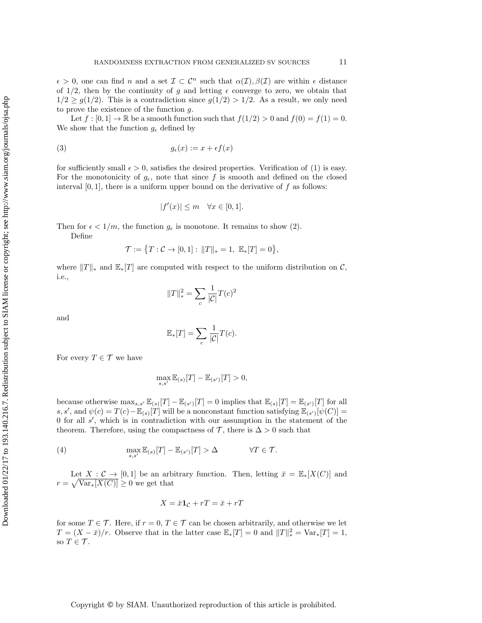$\epsilon > 0$ , one can find n and a set  $\mathcal{I} \subset \mathcal{C}^n$  such that  $\alpha(\mathcal{I}), \beta(\mathcal{I})$  are within  $\epsilon$  distance of  $1/2$ , then by the continuity of g and letting  $\epsilon$  converge to zero, we obtain that  $1/2 \ge g(1/2)$ . This is a contradiction since  $g(1/2) > 1/2$ . As a result, we only need to prove the existence of the function g.

Let  $f : [0,1] \to \mathbb{R}$  be a smooth function such that  $f(1/2) > 0$  and  $f(0) = f(1) = 0$ . We show that the function  $g_{\epsilon}$  defined by

$$
(3) \t\t\t g_{\epsilon}(x) := x + \epsilon f(x)
$$

for sufficiently small  $\epsilon > 0$ , satisfies the desired properties. Verification of [\(1\)](#page-9-1) is easy. For the monotonicity of  $g_{\epsilon}$ , note that since f is smooth and defined on the closed interval  $[0, 1]$ , there is a uniform upper bound on the derivative of  $f$  as follows:

$$
|f'(x)| \le m \quad \forall x \in [0,1].
$$

Then for  $\epsilon < 1/m$ , the function  $g_{\epsilon}$  is monotone. It remains to show [\(2\)](#page-9-2). Define

$$
\mathcal{T}:=\big\{T:\mathcal{C}\to[0,1]:\,\|T\|_{*}=1,\ \mathbb{E}_{*}[T]=0\big\},
$$

where  $||T||_*$  and  $\mathbb{E}_*T$  are computed with respect to the uniform distribution on C, i.e.,

$$
||T||_*^2 = \sum_c \frac{1}{|\mathcal{C}|} T(c)^2
$$

and

$$
\mathbb{E}_{*}[T] = \sum_{c} \frac{1}{|\mathcal{C}|} T(c).
$$

For every  $T \in \mathcal{T}$  we have

$$
\max_{s,s'} \mathbb{E}_{(s)}[T] - \mathbb{E}_{(s')}[T] > 0,
$$

because otherwise  $\max_{s,s'} \mathbb{E}_{(s)}[T] - \mathbb{E}_{(s')}[T] = 0$  implies that  $\mathbb{E}_{(s)}[T] = \mathbb{E}_{(s')}[T]$  for all s, s', and  $\psi(c) = T(c) - \mathbb{E}_{(s)}[T]$  will be a nonconstant function satisfying  $\mathbb{E}_{(s')}[\psi(C)] =$ 0 for all  $s'$ , which is in contradiction with our assumption in the statement of the theorem. Therefore, using the compactness of  $\mathcal{T}$ , there is  $\Delta > 0$  such that

<span id="page-10-0"></span>(4) 
$$
\max_{s,s'} \mathbb{E}_{(s)}[T] - \mathbb{E}_{(s')}[T] > \Delta \qquad \forall T \in \mathcal{T}.
$$

Let  $X: \mathcal{C} \to [0,1]$  be an arbitrary function. Then, letting  $\bar{x} = \mathbb{E}_*[X(\mathcal{C})]$  and  $r = \sqrt{\text{Var}_*[X(C)]} \geq 0$  we get that

$$
X = \bar{x}\mathbf{1}_{\mathcal{C}} + rT = \bar{x} + rT
$$

for some  $T \in \mathcal{T}$ . Here, if  $r = 0, T \in \mathcal{T}$  can be chosen arbitrarily, and otherwise we let  $T = (X - \bar{x})/r$ . Observe that in the latter case  $\mathbb{E}_*[T] = 0$  and  $||T||_*^2 = \text{Var}_*[T] = 1$ , so  $T \in \mathcal{T}$ .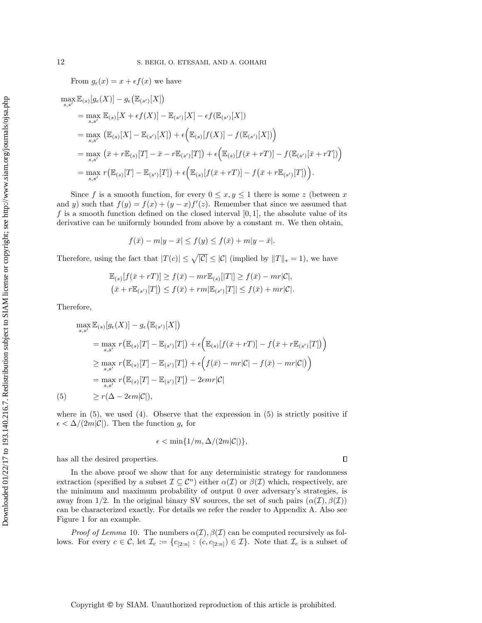From  $g_{\epsilon}(x) = x + \epsilon f(x)$  we have

$$
\max_{s,s'} \mathbb{E}_{(s)}[g_{\epsilon}(X)] - g_{\epsilon}(\mathbb{E}_{(s')}[X])
$$
\n
$$
= \max_{s,s'} \mathbb{E}_{(s)}[X + \epsilon f(X)] - \mathbb{E}_{(s')}[X] - \epsilon f(\mathbb{E}_{(s')}[X])
$$
\n
$$
= \max_{s,s'} \left( \mathbb{E}_{(s)}[X] - \mathbb{E}_{(s')}[X] \right) + \epsilon \left( \mathbb{E}_{(s)}[f(X)] - f(\mathbb{E}_{(s')}[X]) \right)
$$
\n
$$
= \max_{s,s'} \left( \bar{x} + r \mathbb{E}_{(s)}[T] - \bar{x} - r \mathbb{E}_{(s')}[T] \right) + \epsilon \left( \mathbb{E}_{(s)}[f(\bar{x} + rT)] - f(\mathbb{E}_{(s')}[\bar{x} + rT]) \right)
$$
\n
$$
= \max_{s,s'} r(\mathbb{E}_{(s)}[T] - \mathbb{E}_{(s')}[T]) + \epsilon \left( \mathbb{E}_{(s)}[f(\bar{x} + rT)] - f(\bar{x} + r \mathbb{E}_{(s')}[T]) \right).
$$

Since f is a smooth function, for every  $0 \le x, y \le 1$  there is some z (between x and y) such that  $f(y) = f(x) + (y - x)f'(z)$ . Remember that since we assumed that f is a smooth function defined on the closed interval  $[0, 1]$ , the absolute value of its derivative can be uniformly bounded from above by a constant  $m$ . We then obtain,

$$
f(\bar{x}) - m|y - \bar{x}| \le f(y) \le f(\bar{x}) + m|y - \bar{x}|.
$$

Therefore, using the fact that  $|T(c)| \leq \sqrt{|\mathcal{C}|} \leq |\mathcal{C}|$  (implied by  $||T||_* = 1$ ), we have

$$
\begin{aligned} &\mathbb{E}_{(s)}[f(\bar{x}+rT)]\geq f(\bar{x})-mr\mathbb{E}_{(s)}[|T|]\geq f(\bar{x})-mr|\mathcal{C}|,\\ &\left(\bar{x}+r\mathbb{E}_{(s')}[T]\right)\leq f(\bar{x})+rm|\mathbb{E}_{(s')}[T]|\leq f(\bar{x})+mr|\mathcal{C}|.\end{aligned}
$$

Therefore,

$$
\max_{s,s'} \mathbb{E}_{(s)}[g_{\epsilon}(X)] - g_{\epsilon}(\mathbb{E}_{(s')}[X])
$$
\n
$$
= \max_{s,s'} r(\mathbb{E}_{(s)}[T] - \mathbb{E}_{(s')}[T]) + \epsilon(\mathbb{E}_{(s)}[f(\bar{x} + rT)] - f(\bar{x} + r\mathbb{E}_{(s')}[T])
$$
\n
$$
\geq \max_{s,s'} r(\mathbb{E}_{(s)}[T] - \mathbb{E}_{(s')}[T]) + \epsilon(f(\bar{x}) - mr|\mathcal{C}| - f(\bar{x}) - mr|\mathcal{C}|)
$$
\n
$$
= \max_{s,s'} r(\mathbb{E}_{(s)}[T] - \mathbb{E}_{(s')}[T]) - 2\epsilon mr|\mathcal{C}|
$$
\n(5)\n
$$
\geq r(\Delta - 2\epsilon m|\mathcal{C}|),
$$

<span id="page-11-0"></span>where in  $(5)$ , we used  $(4)$ . Observe that the expression in  $(5)$  is strictly positive if  $\epsilon < \Delta/(2m|\mathcal{C}|)$ . Then the function  $g_{\epsilon}$  for

$$
\epsilon < \min\{1/m, \Delta/(2m|\mathcal{C}|)\},
$$

has all the desired properties.

 $\Box$ 

In the above proof we show that for any deterministic strategy for randomness extraction (specified by a subset  $\mathcal{I} \subseteq \mathcal{C}^n$ ) either  $\alpha(\mathcal{I})$  or  $\beta(\mathcal{I})$  which, respectively, are the minimum and maximum probability of output 0 over adversary's strategies, is away from 1/2. In the original binary SV sources, the set of such pairs  $(\alpha(\mathcal{I}), \beta(\mathcal{I}))$ can be characterized exactly. For details we refer the reader to [Appendix A.](#page-31-0) Also see [Figure 1](#page-12-0) for an example.

*Proof of [Lemma](#page-9-3)* 10. The numbers  $\alpha(\mathcal{I}), \beta(\mathcal{I})$  can be computed recursively as follows. For every  $c \in \mathcal{C}$ , let  $\mathcal{I}_c := \{c_{[2:n]} : (c, c_{[2:n]}) \in \mathcal{I}\}\$ . Note that  $\mathcal{I}_c$  is a subset of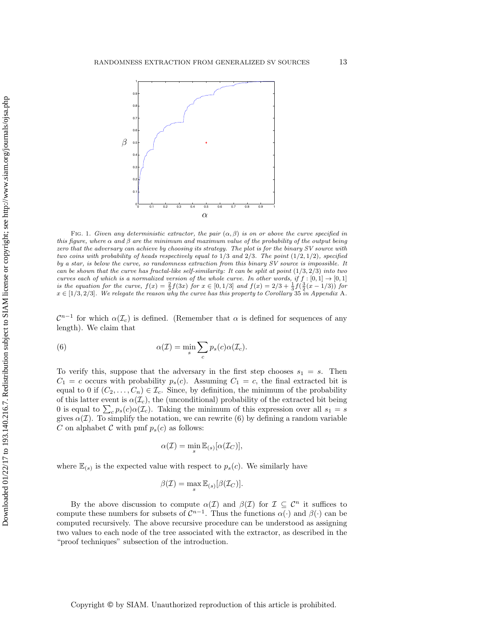<span id="page-12-0"></span>

FIG. 1. Given any deterministic extractor, the pair  $(\alpha, \beta)$  is on or above the curve specified in this figure, where  $\alpha$  and  $\beta$  are the minimum and maximum value of the probability of the output being zero that the adversary can achieve by choosing its strategy. The plot is for the binary SV source with two coins with probability of heads respectively equal to  $1/3$  and  $2/3$ . The point  $(1/2, 1/2)$ , specified by a star, is below the curve, so randomness extraction from this binary SV source is impossible. It can be shown that the curve has fractal-like self-similarity: It can be split at point  $(1/3, 2/3)$  into two curves each of which is a normalized version of the whole curve. In other words, if  $f : [0,1] \rightarrow [0,1]$ is the equation for the curve,  $f(x) = \frac{2}{3}f(3x)$  for  $x \in [0, 1/3]$  and  $f(x) = 2/3 + \frac{1}{3}f(\frac{3}{2}(x-1/3))$  for  $x \in [1/3, 2/3]$ . We relegate the reason why the curve has this property to [Corollary](#page-32-0) 35 in [Appendix](#page-31-0) A.

 $\mathcal{C}^{n-1}$  for which  $\alpha(\mathcal{I}_c)$  is defined. (Remember that  $\alpha$  is defined for sequences of any length). We claim that

<span id="page-12-1"></span>(6) 
$$
\alpha(\mathcal{I}) = \min_{s} \sum_{c} p_s(c) \alpha(\mathcal{I}_c).
$$

To verify this, suppose that the adversary in the first step chooses  $s_1 = s$ . Then  $C_1 = c$  occurs with probability  $p_s(c)$ . Assuming  $C_1 = c$ , the final extracted bit is equal to 0 if  $(C_2, \ldots, C_n) \in \mathcal{I}_c$ . Since, by definition, the minimum of the probability of this latter event is  $\alpha(\mathcal{I}_c)$ , the (unconditional) probability of the extracted bit being 0 is equal to  $\sum_c p_s(c)\alpha(\mathcal{I}_c)$ . Taking the minimum of this expression over all  $s_1 = s$ gives  $\alpha(\mathcal{I})$ . To simplify the notation, we can rewrite [\(6\)](#page-12-1) by defining a random variable C on alphabet C with pmf  $p_s(c)$  as follows:

$$
\alpha(\mathcal{I}) = \min_{s} \mathbb{E}_{(s)}[\alpha(\mathcal{I}_C)],
$$

where  $\mathbb{E}_{(s)}$  is the expected value with respect to  $p_s(c)$ . We similarly have

$$
\beta(\mathcal{I}) = \max_{s} \mathbb{E}_{(s)}[\beta(\mathcal{I}_C)].
$$

By the above discussion to compute  $\alpha(\mathcal{I})$  and  $\beta(\mathcal{I})$  for  $\mathcal{I} \subseteq \mathcal{C}^n$  it suffices to compute these numbers for subsets of  $\mathcal{C}^{n-1}$ . Thus the functions  $\alpha(\cdot)$  and  $\beta(\cdot)$  can be computed recursively. The above recursive procedure can be understood as assigning two values to each node of the tree associated with the extractor, as described in the "proof techniques" subsection of the introduction.

Copyright © by SIAM. Unauthorized reproduction of this article is prohibited.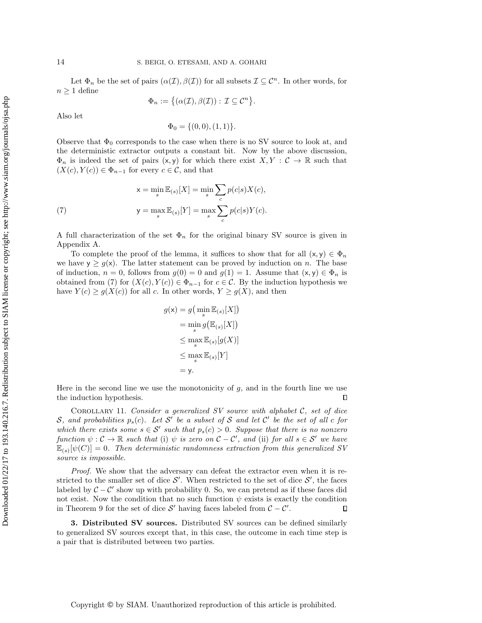Let  $\Phi_n$  be the set of pairs  $(\alpha(\mathcal{I}), \beta(\mathcal{I}))$  for all subsets  $\mathcal{I} \subseteq \mathcal{C}^n$ . In other words, for  $n \geq 1$  define

$$
\Phi_n:=\big\{(\alpha(\mathcal{I}),\beta(\mathcal{I})): \, \mathcal{I}\subseteq \mathcal{C}^n\big\}.
$$

Also let

$$
\Phi_0 = \{(0,0), (1,1)\}.
$$

Observe that  $\Phi_0$  corresponds to the case when there is no SV source to look at, and the deterministic extractor outputs a constant bit. Now by the above discussion,  $\Phi_n$  is indeed the set of pairs  $(x, y)$  for which there exist  $X, Y : \mathcal{C} \to \mathbb{R}$  such that  $(X(c), Y(c)) \in \Phi_{n-1}$  for every  $c \in \mathcal{C}$ , and that

<span id="page-13-0"></span>(7) 
$$
x = \min_{s} \mathbb{E}_{(s)}[X] = \min_{s} \sum_{c} p(c|s)X(c),
$$

$$
y = \max_{s} \mathbb{E}_{(s)}[Y] = \max_{s} \sum_{c} p(c|s)Y(c).
$$

A full characterization of the set  $\Phi_n$  for the original binary SV source is given in [Appendix A.](#page-31-0)

To complete the proof of the lemma, it suffices to show that for all  $(x, y) \in \Phi_n$ we have  $y \ge g(x)$ . The latter statement can be proved by induction on *n*. The base of induction,  $n = 0$ , follows from  $g(0) = 0$  and  $g(1) = 1$ . Assume that  $(x, y) \in \Phi_n$  is obtained from [\(7\)](#page-13-0) for  $(X(c), Y(c)) \in \Phi_{n-1}$  for  $c \in \mathcal{C}$ . By the induction hypothesis we have  $Y(c) \ge g(X(c))$  for all c. In other words,  $Y \ge g(X)$ , and then

$$
g(\mathbf{x}) = g\left(\min_{s} \mathbb{E}_{(s)}[X]\right)
$$

$$
= \min_{s} g\left(\mathbb{E}_{(s)}[X]\right)
$$

$$
\leq \max_{s} \mathbb{E}_{(s)}[g(X)]
$$

$$
\leq \max_{s} \mathbb{E}_{(s)}[Y]
$$

$$
= \mathbf{y}.
$$

Here in the second line we use the monotonicity of  $q$ , and in the fourth line we use the induction hypothesis.  $\Box$ 

<span id="page-13-2"></span>COROLLARY 11. Consider a generalized  $SV$  source with alphabet  $C$ , set of dice S, and probabilities  $p_s(c)$ . Let S' be a subset of S and let C' be the set of all c for which there exists some  $s \in S'$  such that  $p_s(c) > 0$ . Suppose that there is no nonzero function  $\psi : \mathcal{C} \to \mathbb{R}$  such that (i)  $\psi$  is zero on  $\mathcal{C} - \mathcal{C}'$ , and (ii) for all  $s \in \mathcal{S}'$  we have  $\mathbb{E}_{(s)}[\psi(C)] = 0$ . Then deterministic randomness extraction from this generalized SV source is impossible.

Proof. We show that the adversary can defeat the extractor even when it is restricted to the smaller set of dice  $\mathcal{S}'$ . When restricted to the set of dice  $\mathcal{S}'$ , the faces labeled by  $C - C'$  show up with probability 0. So, we can pretend as if these faces did not exist. Now the condition that no such function  $\psi$  exists is exactly the condition in [Theorem 9](#page-9-0) for the set of dice  $S'$  having faces labeled from  $C - C'$ .  $\Box$ 

<span id="page-13-1"></span>3. Distributed SV sources. Distributed SV sources can be defined similarly to generalized SV sources except that, in this case, the outcome in each time step is a pair that is distributed between two parties.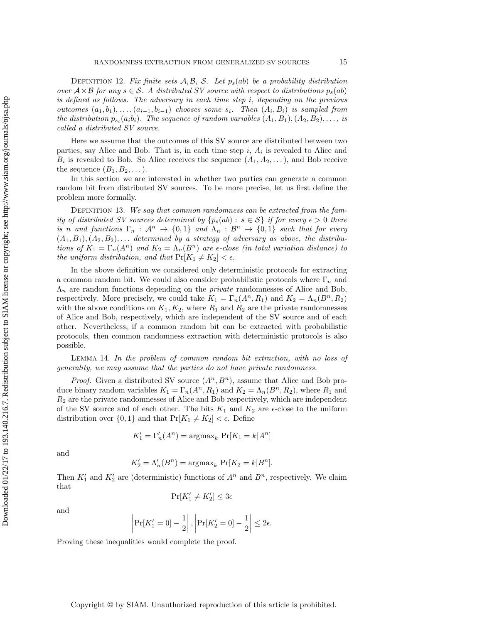DEFINITION 12. Fix finite sets  $A, B, S$ . Let  $p_s(ab)$  be a probability distribution over  $A \times B$  for any  $s \in S$ . A distributed SV source with respect to distributions  $p_s(ab)$ is defined as follows. The adversary in each time step i, depending on the previous outcomes  $(a_1, b_1), \ldots, (a_{i-1}, b_{i-1})$  chooses some  $s_i$ . Then  $(A_i, B_i)$  is sampled from the distribution  $p_{s_i}(a_i b_i)$ . The sequence of random variables  $(A_1, B_1), (A_2, B_2), \ldots$ , is called a distributed SV source.

Here we assume that the outcomes of this SV source are distributed between two parties, say Alice and Bob. That is, in each time step  $i, A_i$  is revealed to Alice and  $B_i$  is revealed to Bob. So Alice receives the sequence  $(A_1, A_2, \ldots)$ , and Bob receive the sequence  $(B_1, B_2, \dots)$ .

In this section we are interested in whether two parties can generate a common random bit from distributed SV sources. To be more precise, let us first define the problem more formally.

DEFINITION 13. We say that common randomness can be extracted from the family of distributed SV sources determined by  $\{p_s(ab): s \in S\}$  if for every  $\epsilon > 0$  there is n and functions  $\Gamma_n$ :  $\mathcal{A}^n \to \{0,1\}$  and  $\Lambda_n : \mathcal{B}^n \to \{0,1\}$  such that for every  $(A_1, B_1), (A_2, B_2), \ldots$  determined by a strategy of adversary as above, the distributions of  $K_1 = \Gamma_n(A^n)$  and  $K_2 = \Lambda_n(B^n)$  are  $\epsilon$ -close (in total variation distance) to the uniform distribution, and that  $Pr[K_1 \neq K_2] < \epsilon$ .

In the above definition we considered only deterministic protocols for extracting a common random bit. We could also consider probabilistic protocols where  $\Gamma_n$  and  $\Lambda_n$  are random functions depending on the *private* randomnesses of Alice and Bob, respectively. More precisely, we could take  $K_1 = \Gamma_n(A^n, R_1)$  and  $K_2 = \Lambda_n(B^n, R_2)$ with the above conditions on  $K_1, K_2$ , where  $R_1$  and  $R_2$  are the private randomnesses of Alice and Bob, respectively, which are independent of the SV source and of each other. Nevertheless, if a common random bit can be extracted with probabilistic protocols, then common randomness extraction with deterministic protocols is also possible.

<span id="page-14-0"></span>Lemma 14. In the problem of common random bit extraction, with no loss of generality, we may assume that the parties do not have private randomness.

*Proof.* Given a distributed SV source  $(A^n, B^n)$ , assume that Alice and Bob produce binary random variables  $K_1 = \Gamma_n(A^n, R_1)$  and  $K_2 = \Lambda_n(B^n, R_2)$ , where  $R_1$  and  $R<sub>2</sub>$  are the private randomnesses of Alice and Bob respectively, which are independent of the SV source and of each other. The bits  $K_1$  and  $K_2$  are  $\epsilon$ -close to the uniform distribution over  $\{0, 1\}$  and that  $Pr[K_1 \neq K_2] < \epsilon$ . Define

$$
K_1' = \Gamma_n'(A^n) = \operatorname{argmax}_k \, \Pr[K_1 = k | A^n]
$$

and

$$
K_2' = \Lambda_n'(B^n) = \operatorname{argmax}_k \, \Pr[K_2 = k | B^n].
$$

Then  $K_1'$  and  $K_2'$  are (deterministic) functions of  $A^n$  and  $B^n$ , respectively. We claim that

$$
\Pr[K_1' \ne K_2'] \le 3\epsilon
$$

and

$$
\left| \Pr[K_1' = 0] - \frac{1}{2} \right|, \left| \Pr[K_2' = 0] - \frac{1}{2} \right| \le 2\epsilon.
$$

Proving these inequalities would complete the proof.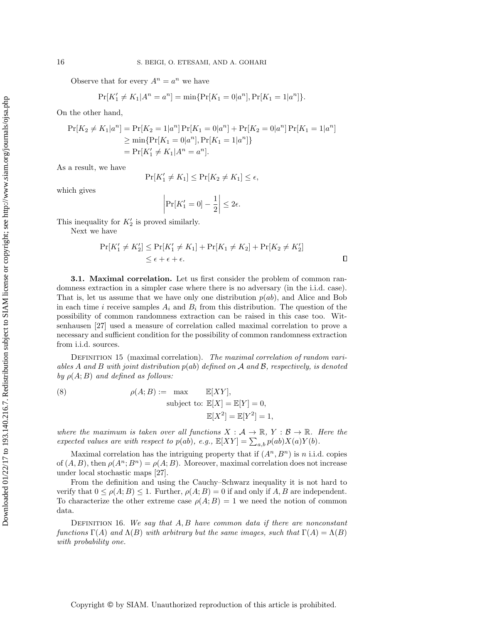Observe that for every  $A^n = a^n$  we have

$$
Pr[K'_1 \neq K_1 | A^n = a^n] = \min\{Pr[K_1 = 0 | a^n], Pr[K_1 = 1 | a^n]\}.
$$

On the other hand,

$$
\Pr[K_2 \neq K_1 | a^n] = \Pr[K_2 = 1 | a^n] \Pr[K_1 = 0 | a^n] + \Pr[K_2 = 0 | a^n] \Pr[K_1 = 1 | a^n]
$$
  
\n
$$
\geq \min \{ \Pr[K_1 = 0 | a^n], \Pr[K_1 = 1 | a^n] \}
$$
  
\n
$$
= \Pr[K_1' \neq K_1 | A^n = a^n].
$$

As a result, we have

$$
\Pr[K_1' \neq K_1] \le \Pr[K_2 \neq K_1] \le \epsilon,
$$

which gives

$$
\left|\Pr[K_1' = 0] - \frac{1}{2}\right| \le 2\epsilon.
$$

This inequality for  $K_2'$  is proved similarly.

Next we have

$$
\Pr[K_1' \neq K_2'] \le \Pr[K_1' \neq K_1] + \Pr[K_1 \neq K_2] + \Pr[K_2 \neq K_2']
$$
  
 
$$
\le \epsilon + \epsilon + \epsilon.
$$

**3.1. Maximal correlation.** Let us first consider the problem of common randomness extraction in a simpler case where there is no adversary (in the i.i.d. case). That is, let us assume that we have only one distribution  $p(ab)$ , and Alice and Bob in each time i receive samples  $A_i$  and  $B_i$  from this distribution. The question of the possibility of common randomness extraction can be raised in this case too. Witsenhausen [\[27\]](#page-35-8) used a measure of correlation called maximal correlation to prove a necessary and sufficient condition for the possibility of common randomness extraction from i.i.d. sources.

DEFINITION 15 (maximal correlation). The maximal correlation of random variables A and B with joint distribution  $p(ab)$  defined on A and B, respectively, is denoted by  $\rho(A;B)$  and defined as follows:

(8) 
$$
\rho(A;B) := \max \qquad \mathbb{E}[XY],
$$
  
subject to: 
$$
\mathbb{E}[X] = \mathbb{E}[Y] = 0,
$$

$$
\mathbb{E}[X^2] = \mathbb{E}[Y^2] = 1,
$$

where the maximum is taken over all functions  $X : \mathcal{A} \to \mathbb{R}, Y : \mathcal{B} \to \mathbb{R}$ . Here the expected values are with respect to  $p(ab)$ , e.g.,  $\mathbb{E}[XY] = \sum_{a,b} p(ab)X(a)Y(b)$ .

Maximal correlation has the intriguing property that if  $(A^n, B^n)$  is n i.i.d. copies of  $(A, B)$ , then  $\rho(A^n; B^n) = \rho(A; B)$ . Moreover, maximal correlation does not increase under local stochastic maps [\[27\]](#page-35-8).

From the definition and using the Cauchy–Schwarz inequality it is not hard to verify that  $0 \le \rho(A;B) \le 1$ . Further,  $\rho(A;B) = 0$  if and only if A, B are independent. To characterize the other extreme case  $\rho(A;B) = 1$  we need the notion of common data.

DEFINITION 16. We say that  $A, B$  have common data if there are nonconstant functions  $\Gamma(A)$  and  $\Lambda(B)$  with arbitrary but the same images, such that  $\Gamma(A) = \Lambda(B)$ with probability one.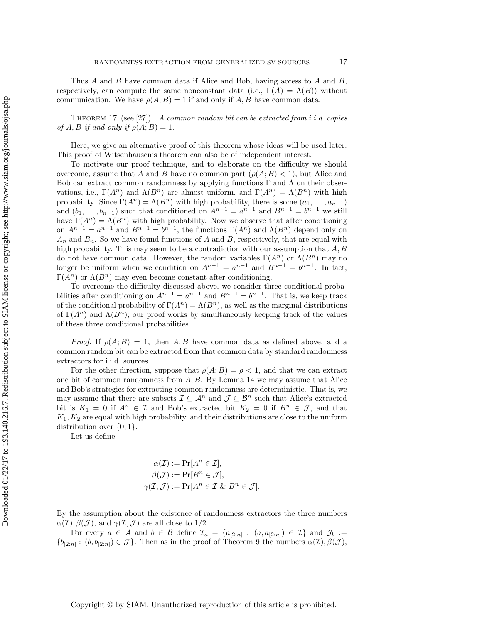Thus  $A$  and  $B$  have common data if Alice and Bob, having access to  $A$  and  $B$ , respectively, can compute the same nonconstant data (i.e.,  $\Gamma(A) = \Lambda(B)$ ) without communication. We have  $\rho(A;B) = 1$  if and only if A, B have common data.

<span id="page-16-0"></span>THEOREM 17 (see [\[27\]](#page-35-8)). A common random bit can be extracted from i.i.d. copies of A, B if and only if  $\rho(A;B) = 1$ .

Here, we give an alternative proof of this theorem whose ideas will be used later. This proof of Witsenhausen's theorem can also be of independent interest.

To motivate our proof technique, and to elaborate on the difficulty we should overcome, assume that A and B have no common part  $(\rho(A;B) < 1)$ , but Alice and Bob can extract common randomness by applying functions  $\Gamma$  and  $\Lambda$  on their observations, i.e.,  $\Gamma(A^n)$  and  $\Lambda(B^n)$  are almost uniform, and  $\Gamma(A^n) = \Lambda(B^n)$  with high probability. Since  $\Gamma(A^n) = \Lambda(B^n)$  with high probability, there is some  $(a_1, \ldots, a_{n-1})$ and  $(b_1, \ldots, b_{n-1})$  such that conditioned on  $A^{n-1} = a^{n-1}$  and  $B^{n-1} = b^{n-1}$  we still have  $\Gamma(A^n) = \Lambda(B^n)$  with high probability. Now we observe that after conditioning on  $A^{n-1} = a^{n-1}$  and  $B^{n-1} = b^{n-1}$ , the functions  $\Gamma(A^n)$  and  $\Lambda(B^n)$  depend only on  $A_n$  and  $B_n$ . So we have found functions of A and B, respectively, that are equal with high probability. This may seem to be a contradiction with our assumption that  $A, B$ do not have common data. However, the random variables  $\Gamma(A^n)$  or  $\Lambda(B^n)$  may no longer be uniform when we condition on  $A^{n-1} = a^{n-1}$  and  $B^{n-1} = b^{n-1}$ . In fact,  $\Gamma(A^n)$  or  $\Lambda(B^n)$  may even become constant after conditioning.

To overcome the difficulty discussed above, we consider three conditional probabilities after conditioning on  $A^{n-1} = a^{n-1}$  and  $B^{n-1} = b^{n-1}$ . That is, we keep track of the conditional probability of  $\Gamma(A^n) = \Lambda(B^n)$ , as well as the marginal distributions of  $\Gamma(A^n)$  and  $\Lambda(B^n)$ ; our proof works by simultaneously keeping track of the values of these three conditional probabilities.

*Proof.* If  $\rho(A;B) = 1$ , then A, B have common data as defined above, and a common random bit can be extracted from that common data by standard randomness extractors for i.i.d. sources.

For the other direction, suppose that  $\rho(A;B) = \rho < 1$ , and that we can extract one bit of common randomness from  $A, B$ . By [Lemma 14](#page-14-0) we may assume that Alice and Bob's strategies for extracting common randomness are deterministic. That is, we may assume that there are subsets  $\mathcal{I} \subseteq \mathcal{A}^n$  and  $\mathcal{J} \subseteq \mathcal{B}^n$  such that Alice's extracted bit is  $K_1 = 0$  if  $A^n \in \mathcal{I}$  and Bob's extracted bit  $K_2 = 0$  if  $B^n \in \mathcal{J}$ , and that  $K_1, K_2$  are equal with high probability, and their distributions are close to the uniform distribution over  $\{0, 1\}.$ 

Let us define

$$
\alpha(\mathcal{I}) := \Pr[A^n \in \mathcal{I}],
$$
  
\n
$$
\beta(\mathcal{J}) := \Pr[B^n \in \mathcal{J}],
$$
  
\n
$$
\gamma(\mathcal{I}, \mathcal{J}) := \Pr[A^n \in \mathcal{I} \& B^n \in \mathcal{J}].
$$

By the assumption about the existence of randomness extractors the three numbers  $\alpha(\mathcal{I}), \beta(\mathcal{J}),$  and  $\gamma(\mathcal{I}, \mathcal{J})$  are all close to 1/2.

For every  $a \in \mathcal{A}$  and  $b \in \mathcal{B}$  define  $\mathcal{I}_a = \{a_{[2:n]} : (a, a_{[2:n]}) \in \mathcal{I}\}\$  and  $\mathcal{J}_b :=$  $\{b_{[2:n]} : (b, b_{[2:n]}) \in \mathcal{J}\}\.$  Then as in the proof of [Theorem 9](#page-9-0) the numbers  $\alpha(\mathcal{I}), \beta(\mathcal{J}),$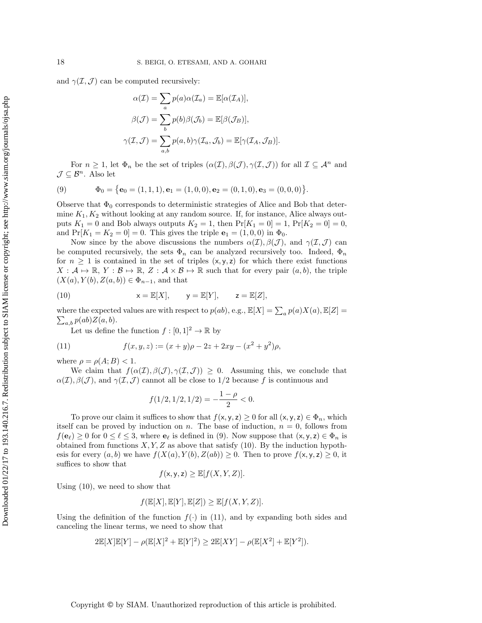and  $\gamma(\mathcal{I}, \mathcal{J})$  can be computed recursively:

$$
\alpha(\mathcal{I}) = \sum_{a} p(a)\alpha(\mathcal{I}_a) = \mathbb{E}[\alpha(\mathcal{I}_A)],
$$

$$
\beta(\mathcal{J}) = \sum_{b} p(b)\beta(\mathcal{J}_b) = \mathbb{E}[\beta(\mathcal{J}_B)],
$$

$$
\gamma(\mathcal{I}, \mathcal{J}) = \sum_{a,b} p(a,b)\gamma(\mathcal{I}_a, \mathcal{J}_b) = \mathbb{E}[\gamma(\mathcal{I}_A, \mathcal{J}_B)].
$$

For  $n \geq 1$ , let  $\Phi_n$  be the set of triples  $(\alpha(\mathcal{I}), \beta(\mathcal{J}), \gamma(\mathcal{I}, \mathcal{J}))$  for all  $\mathcal{I} \subseteq \mathcal{A}^n$  and  $\mathcal{J} \subseteq \mathcal{B}^n$ . Also let

<span id="page-17-0"></span>(9) 
$$
\Phi_0 = {\mathbf{e}_0 = (1, 1, 1), \mathbf{e}_1 = (1, 0, 0), \mathbf{e}_2 = (0, 1, 0), \mathbf{e}_3 = (0, 0, 0)}.
$$

Observe that  $\Phi_0$  corresponds to deterministic strategies of Alice and Bob that determine  $K_1, K_2$  without looking at any random source. If, for instance, Alice always outputs  $K_1 = 0$  and Bob always outputs  $K_2 = 1$ , then  $Pr[K_1 = 0] = 1$ ,  $Pr[K_2 = 0] = 0$ , and  $Pr[K_1 = K_2 = 0] = 0$ . This gives the triple  $e_1 = (1, 0, 0)$  in  $\Phi_0$ .

Now since by the above discussions the numbers  $\alpha(\mathcal{I}), \beta(\mathcal{J})$ , and  $\gamma(\mathcal{I}, \mathcal{J})$  can be computed recursively, the sets  $\Phi_n$  can be analyzed recursively too. Indeed,  $\Phi_n$ for  $n \geq 1$  is contained in the set of triples  $(x, y, z)$  for which there exist functions  $X : \mathcal{A} \mapsto \mathbb{R}, Y : \mathcal{B} \mapsto \mathbb{R}, Z : \mathcal{A} \times \mathcal{B} \mapsto \mathbb{R}$  such that for every pair  $(a, b)$ , the triple  $(X(a), Y(b), Z(a, b)) \in \Phi_{n-1}$ , and that

<span id="page-17-1"></span>(10) 
$$
x = \mathbb{E}[X], \quad y = \mathbb{E}[Y], \quad z = \mathbb{E}[Z],
$$

where the expected values are with respect to  $p(ab)$ , e.g.,  $\mathbb{E}[X] = \sum_a p(a)X(a), \mathbb{E}[Z] = \sum_a p(ab)Z(a,b)$ .  $\sum_{a,b} p(ab)Z(a,b).$ 

Let us define the function  $f : [0,1]^2 \to \mathbb{R}$  by

<span id="page-17-2"></span>(11) 
$$
f(x, y, z) := (x + y)\rho - 2z + 2xy - (x^2 + y^2)\rho,
$$

where  $\rho = \rho(A;B) < 1$ .

We claim that  $f(\alpha(\mathcal{I}), \beta(\mathcal{J}), \gamma(\mathcal{I}, \mathcal{J})) \geq 0$ . Assuming this, we conclude that  $\alpha(\mathcal{I}), \beta(\mathcal{J}),$  and  $\gamma(\mathcal{I}, \mathcal{J})$  cannot all be close to 1/2 because f is continuous and

$$
f(1/2, 1/2, 1/2) = -\frac{1-\rho}{2} < 0.
$$

To prove our claim it suffices to show that  $f(x, y, z) \geq 0$  for all  $(x, y, z) \in \Phi_n$ , which itself can be proved by induction on n. The base of induction,  $n = 0$ , follows from  $f(\mathbf{e}_{\ell}) \geq 0$  for  $0 \leq \ell \leq 3$ , where  $\mathbf{e}_{\ell}$  is defined in [\(9\)](#page-17-0). Now suppose that  $(x, y, z) \in \Phi_n$  is obtained from functions  $X, Y, Z$  as above that satisfy [\(10\)](#page-17-1). By the induction hypothesis for every  $(a, b)$  we have  $f(X(a), Y(b), Z(ab)) \geq 0$ . Then to prove  $f(x, y, z) \geq 0$ , it suffices to show that

$$
f(\mathsf{x}, \mathsf{y}, \mathsf{z}) \geq \mathbb{E}[f(X, Y, Z)].
$$

Using [\(10\)](#page-17-1), we need to show that

$$
f(\mathbb{E}[X],\mathbb{E}[Y],\mathbb{E}[Z])\geq \mathbb{E}[f(X,Y,Z)].
$$

Using the definition of the function  $f(\cdot)$  in [\(11\)](#page-17-2), and by expanding both sides and canceling the linear terms, we need to show that

$$
2\mathbb{E}[X]\mathbb{E}[Y] - \rho(\mathbb{E}[X]^2 + \mathbb{E}[Y]^2) \ge 2\mathbb{E}[XY] - \rho(\mathbb{E}[X^2] + \mathbb{E}[Y^2]).
$$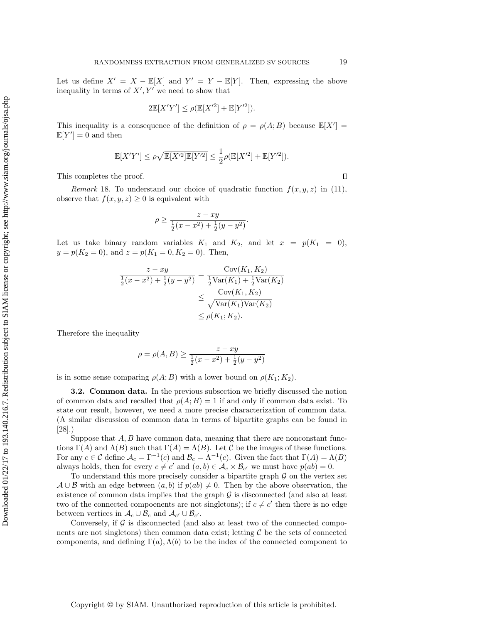Let us define  $X' = X - \mathbb{E}[X]$  and  $Y' = Y - \mathbb{E}[Y]$ . Then, expressing the above inequality in terms of  $X', Y'$  we need to show that

$$
2\mathbb{E}[X'Y'] \le \rho(\mathbb{E}[X'^2] + \mathbb{E}[Y'^2]).
$$

This inequality is a consequence of the definition of  $\rho = \rho(A;B)$  because  $\mathbb{E}[X'] =$  $\mathbb{E}[Y'] = 0$  and then

$$
\mathbb{E}[X'Y'] \leq \rho \sqrt{\mathbb{E}[X'^2]\mathbb{E}[Y'^2]} \leq \frac{1}{2}\rho(\mathbb{E}[X'^2] + \mathbb{E}[Y'^2]).
$$

This completes the proof.

Remark 18. To understand our choice of quadratic function  $f(x, y, z)$  in [\(11\)](#page-17-2), observe that  $f(x, y, z) \geq 0$  is equivalent with

$$
\rho \ge \frac{z - xy}{\frac{1}{2}(x - x^2) + \frac{1}{2}(y - y^2)}.
$$

Let us take binary random variables  $K_1$  and  $K_2$ , and let  $x = p(K_1 = 0)$ ,  $y = p(K_2 = 0)$ , and  $z = p(K_1 = 0, K_2 = 0)$ . Then,

$$
\frac{z - xy}{\frac{1}{2}(x - x^2) + \frac{1}{2}(y - y^2)} = \frac{\text{Cov}(K_1, K_2)}{\frac{1}{2}\text{Var}(K_1) + \frac{1}{2}\text{Var}(K_2)} \le \frac{\text{Cov}(K_1, K_2)}{\sqrt{\text{Var}(K_1)\text{Var}(K_2)}} \le \rho(K_1; K_2).
$$

Therefore the inequality

$$
\rho = \rho(A, B) \ge \frac{z - xy}{\frac{1}{2}(x - x^2) + \frac{1}{2}(y - y^2)}
$$

is in some sense comparing  $\rho(A;B)$  with a lower bound on  $\rho(K_1;K_2)$ .

<span id="page-18-0"></span>3.2. Common data. In the previous subsection we briefly discussed the notion of common data and recalled that  $\rho(A;B) = 1$  if and only if common data exist. To state our result, however, we need a more precise characterization of common data. (A similar discussion of common data in terms of bipartite graphs can be found in [\[28\]](#page-35-19).)

Suppose that  $A, B$  have common data, meaning that there are nonconstant functions Γ(A) and  $\Lambda(B)$  such that  $\Gamma(A) = \Lambda(B)$ . Let C be the images of these functions. For any  $c \in \mathcal{C}$  define  $\mathcal{A}_c = \Gamma^{-1}(c)$  and  $\mathcal{B}_c = \Lambda^{-1}(c)$ . Given the fact that  $\Gamma(A) = \Lambda(B)$ always holds, then for every  $c \neq c'$  and  $(a, b) \in \mathcal{A}_c \times \mathcal{B}_{c'}$  we must have  $p(ab) = 0$ .

To understand this more precisely consider a bipartite graph  $G$  on the vertex set  $A \cup B$  with an edge between  $(a, b)$  if  $p(ab) \neq 0$ . Then by the above observation, the existence of common data implies that the graph  $\mathcal G$  is disconnected (and also at least two of the connected compoenents are not singletons); if  $c \neq c'$  then there is no edge between vertices in  $\mathcal{A}_c \cup \mathcal{B}_c$  and  $\mathcal{A}_{c'} \cup \mathcal{B}_{c'}$ .

Conversely, if  $\mathcal G$  is disconnected (and also at least two of the connected components are not singletons) then common data exist; letting  $C$  be the sets of connected components, and defining  $\Gamma(a)$ ,  $\Lambda(b)$  to be the index of the connected component to

 $\Box$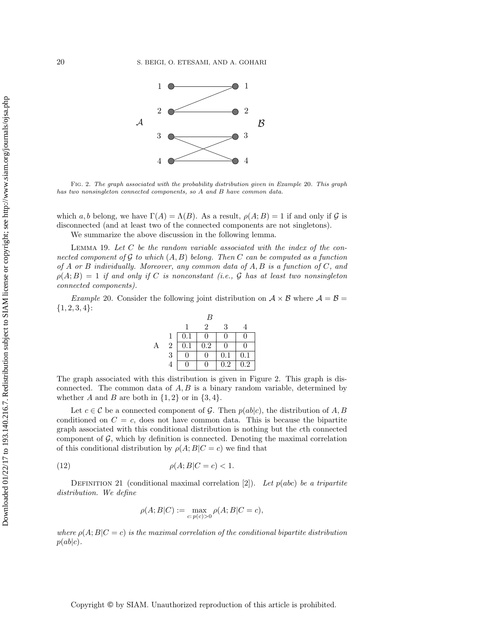<span id="page-19-1"></span>

Fig. 2. The graph associated with the probability distribution given in [Example](#page-19-0) 20. This graph has two nonsingleton connected components, so A and B have common data.

which a, b belong, we have  $\Gamma(A) = \Lambda(B)$ . As a result,  $\rho(A;B) = 1$  if and only if G is disconnected (and at least two of the connected components are not singletons).

We summarize the above discussion in the following lemma.

LEMMA 19. Let  $C$  be the random variable associated with the index of the connected component of G to which  $(A, B)$  belong. Then C can be computed as a function of A or B individually. Moreover, any common data of  $A, B$  is a function of  $C$ , and  $\rho(A;B) = 1$  if and only if C is nonconstant (i.e., G has at least two nonsingleton connected components).

<span id="page-19-0"></span>*Example* 20. Consider the following joint distribution on  $A \times B$  where  $A = B =$  ${1, 2, 3, 4}$ :

|                |     | B         |         |          |
|----------------|-----|-----------|---------|----------|
|                |     | 2         | 3       |          |
|                | 0.1 |           | 0       | ∩        |
| $\overline{2}$ | 0.1 | $\rm 0.2$ | 11      | O        |
| $\overline{3}$ |     |           | $0.1\,$ | $0.1\,$  |
| $\overline{4}$ |     |           | $0.2\,$ | $^{1.2}$ |

The graph associated with this distribution is given in [Figure 2.](#page-19-1) This graph is disconnected. The common data of  $A, B$  is a binary random variable, determined by whether A and B are both in  $\{1,2\}$  or in  $\{3,4\}$ .

Let  $c \in \mathcal{C}$  be a connected component of  $\mathcal{G}$ . Then  $p(ab|c)$ , the distribution of A, B conditioned on  $C = c$ , does not have common data. This is because the bipartite graph associated with this conditional distribution is nothing but the cth connected component of  $\mathcal{G}$ , which by definition is connected. Denoting the maximal correlation of this conditional distribution by  $\rho(A;B|C=c)$  we find that

<span id="page-19-2"></span>
$$
\rho(A;B|C=c) < 1.
$$

DEFINITION 21 (conditional maximal correlation [\[2\]](#page-34-6)). Let  $p(abc)$  be a tripartite distribution. We define

$$
\rho(A;B|C) := \max_{c:\, p(c) > 0} \rho(A;B|C = c),
$$

where  $\rho(A;B|C=c)$  is the maximal correlation of the conditional bipartite distribution  $p(ab|c)$ .

Copyright © by SIAM. Unauthorized reproduction of this article is prohibited.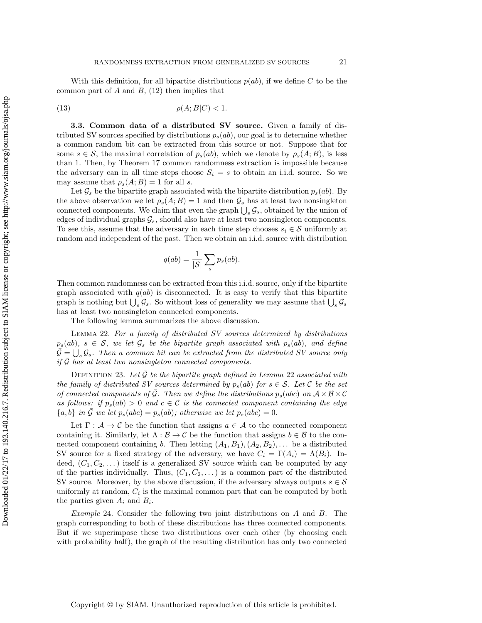With this definition, for all bipartite distributions  $p(ab)$ , if we define C to be the common part of  $A$  and  $B$ , [\(12\)](#page-19-2) then implies that

$$
(13)\qquad \qquad \rho(A;B|C) < 1.
$$

<span id="page-20-0"></span>3.3. Common data of a distributed SV source. Given a family of distributed SV sources specified by distributions  $p_s(ab)$ , our goal is to determine whether a common random bit can be extracted from this source or not. Suppose that for some  $s \in \mathcal{S}$ , the maximal correlation of  $p_s(ab)$ , which we denote by  $\rho_s(A;B)$ , is less than 1. Then, by [Theorem 17](#page-16-0) common randomness extraction is impossible because the adversary can in all time steps choose  $S_i = s$  to obtain an i.i.d. source. So we may assume that  $\rho_s(A;B) = 1$  for all s.

Let  $\mathcal{G}_s$  be the bipartite graph associated with the bipartite distribution  $p_s(ab)$ . By the above observation we let  $\rho_s(A;B) = 1$  and then  $\mathcal{G}_s$  has at least two nonsingleton connected components. We claim that even the graph  $\bigcup_s \mathcal{G}_s$ , obtained by the union of edges of individual graphs  $\mathcal{G}_s$ , should also have at least two nonsingleton components. To see this, assume that the adversary in each time step chooses  $s_i \in \mathcal{S}$  uniformly at random and independent of the past. Then we obtain an i.i.d. source with distribution

$$
q(ab) = \frac{1}{|S|} \sum_{s} p_s(ab).
$$

Then common randomness can be extracted from this i.i.d. source, only if the bipartite graph associated with  $q(ab)$  is disconnected. It is easy to verify that this bipartite graph is nothing but  $\bigcup_s \mathcal{G}_s$ . So without loss of generality we may assume that  $\bigcup_s \mathcal{G}_s$ has at least two nonsingleton connected components.

The following lemma summarizes the above discussion.

<span id="page-20-1"></span>Lemma 22. For a family of distributed SV sources determined by distributions  $p_s(ab)$ ,  $s \in S$ , we let  $\mathcal{G}_s$  be the bipartite graph associated with  $p_s(ab)$ , and define  $\overline{\mathcal{G}} = \bigcup_{s} \mathcal{G}_s$ . Then a common bit can be extracted from the distributed SV source only if  $\overline{G}$  has at least two nonsingleton connected components.

<span id="page-20-2"></span>DEFINITION 23. Let  $\mathcal G$  be the bipartite graph defined in [Lemma](#page-20-1) 22 associated with the family of distributed SV sources determined by  $p_s(ab)$  for  $s \in S$ . Let C be the set of connected components of  $\overline{G}$ . Then we define the distributions  $p_s(abc)$  on  $A \times B \times C$ as follows: if  $p_s(ab) > 0$  and  $c \in \mathcal{C}$  is the connected component containing the edge  ${a, b}$  in G we let  $p_s(abc) = p_s(ab)$ ; otherwise we let  $p_s(abc) = 0$ .

Let  $\Gamma : \mathcal{A} \to \mathcal{C}$  be the function that assigns  $a \in \mathcal{A}$  to the connected component containing it. Similarly, let  $\Lambda : \mathcal{B} \to \mathcal{C}$  be the function that assigns  $b \in \mathcal{B}$  to the connected component containing b. Then letting  $(A_1, B_1), (A_2, B_2), \ldots$  be a distributed SV source for a fixed strategy of the adversary, we have  $C_i = \Gamma(A_i) = \Lambda(B_i)$ . Indeed,  $(C_1, C_2, \dots)$  itself is a generalized SV source which can be computed by any of the parties individually. Thus,  $(C_1, C_2, ...)$  is a common part of the distributed SV source. Moreover, by the above discussion, if the adversary always outputs  $s \in \mathcal{S}$ uniformly at random,  $C_i$  is the maximal common part that can be computed by both the parties given  $A_i$  and  $B_i$ .

*Example* 24. Consider the following two joint distributions on  $A$  and  $B$ . The graph corresponding to both of these distributions has three connected components. But if we superimpose these two distributions over each other (by choosing each with probability half), the graph of the resulting distribution has only two connected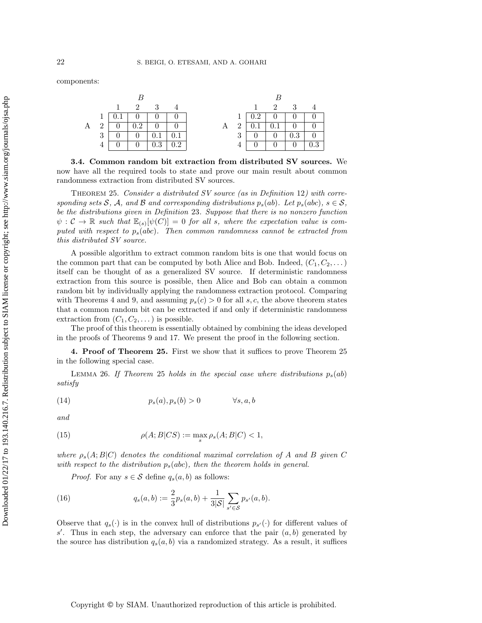components:

|   |                | $\mathbf{1}$ |                | 2 3 4   |                     |   |             | $\sim$ 1       |                   | 2 3                              |                                                                   |
|---|----------------|--------------|----------------|---------|---------------------|---|-------------|----------------|-------------------|----------------------------------|-------------------------------------------------------------------|
|   |                |              | 0 <sup>1</sup> |         | $0 \pm 0$ .         |   | 1           | $0.2 +$        | 0 <sup>1</sup>    | $\overline{0}$                   |                                                                   |
| А | 2 <sup>1</sup> | $0-1$        | 0.2            |         | $0 \quad   \quad 0$ | Α | $2^{\circ}$ | $0.1\,$        | $+$ 0.1 $+$       | $\overline{0}$                   | $\begin{array}{cc} \begin{array}{cc} \end{array} & 0 \end{array}$ |
|   | 3 <sup>1</sup> |              | $\Box$ 0       |         |                     |   | 3           | $\overline{0}$ | $\cdot$ 0 $\cdot$ | 0.3                              | - 0                                                               |
|   |                |              | $\overline{0}$ | $0.3\,$ |                     |   |             |                | 0                 | $\begin{array}{c} 0 \end{array}$ |                                                                   |

3.4. Common random bit extraction from distributed SV sources. We now have all the required tools to state and prove our main result about common randomness extraction from distributed SV sources.

<span id="page-21-0"></span>THEOREM 25. Consider a distributed SV source (as in [Definition](#page-13-1) 12) with corresponding sets S, A, and B and corresponding distributions  $p_s(ab)$ . Let  $p_s(abc)$ ,  $s \in S$ , be the distributions given in [Definition](#page-20-2) 23. Suppose that there is no nonzero function  $\psi : \mathcal{C} \to \mathbb{R}$  such that  $\mathbb{E}_{(s)}[\psi(C)] = 0$  for all s, where the expectation value is computed with respect to  $p_s(abc)$ . Then common randomness cannot be extracted from this distributed SV source.

A possible algorithm to extract common random bits is one that would focus on the common part that can be computed by both Alice and Bob. Indeed,  $(C_1, C_2, \dots)$ itself can be thought of as a generalized SV source. If deterministic randomness extraction from this source is possible, then Alice and Bob can obtain a common random bit by individually applying the randomness extraction protocol. Comparing with [Theorems 4](#page-7-0) and [9,](#page-9-0) and assuming  $p_s(c) > 0$  for all s, c, the above theorem states that a common random bit can be extracted if and only if deterministic randomness extraction from  $(C_1, C_2, \dots)$  is possible.

The proof of this theorem is essentially obtained by combining the ideas developed in the proofs of [Theorems 9](#page-9-0) and [17.](#page-16-0) We present the proof in the following section.

4. Proof of [Theorem 25.](#page-21-0) First we show that it suffices to prove [Theorem 25](#page-21-0). in the following special case.

LEMMA 26. If [Theorem](#page-21-0) 25 holds in the special case where distributions  $p_s(ab)$ satisfy

<span id="page-21-1"></span>(14) 
$$
p_s(a), p_s(b) > 0 \qquad \forall s, a, b
$$

and

<span id="page-21-2"></span>(15) 
$$
\rho(A;B|CS) := \max_{s} \rho_s(A;B|C) < 1,
$$

where  $\rho_s(A;B|C)$  denotes the conditional maximal correlation of A and B given C with respect to the distribution  $p_s(abc)$ , then the theorem holds in general.

*Proof.* For any  $s \in \mathcal{S}$  define  $q_s(a, b)$  as follows:

<span id="page-21-3"></span>(16) 
$$
q_s(a,b) := \frac{2}{3}p_s(a,b) + \frac{1}{3|\mathcal{S}|}\sum_{s' \in \mathcal{S}}p_{s'}(a,b).
$$

Observe that  $q_s(\cdot)$  is in the convex hull of distributions  $p_{s'}(\cdot)$  for different values of s'. Thus in each step, the adversary can enforce that the pair  $(a, b)$  generated by the source has distribution  $q_s(a, b)$  via a randomized strategy. As a result, it suffices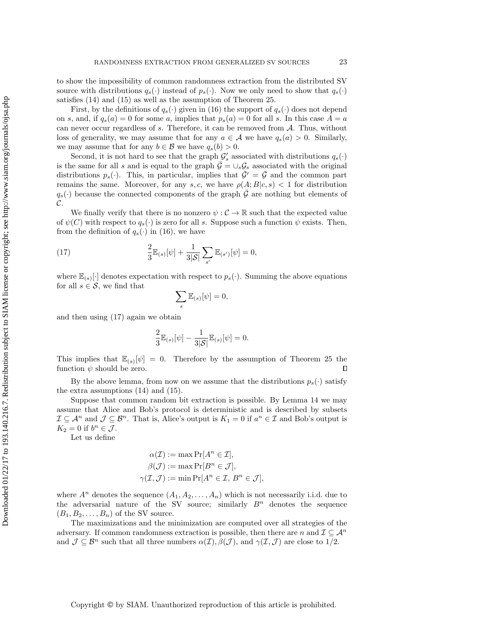to show the impossibility of common randomness extraction from the distributed SV source with distributions  $q_s(\cdot)$  instead of  $p_s(\cdot)$ . Now we only need to show that  $q_s(\cdot)$ satisfies [\(14\)](#page-21-1) and [\(15\)](#page-21-2) as well as the assumption of [Theorem 25.](#page-21-0)

First, by the definitions of  $q_s(\cdot)$  given in [\(16\)](#page-21-3) the support of  $q_s(\cdot)$  does not depend on s, and, if  $q_s(a) = 0$  for some a, implies that  $p_s(a) = 0$  for all s. In this case  $A = a$ can never occur regardless of s. Therefore, it can be removed from A. Thus, without loss of generality, we may assume that for any  $a \in \mathcal{A}$  we have  $q_s(a) > 0$ . Similarly, we may assume that for any  $b \in \mathcal{B}$  we have  $q_s(b) > 0$ .

Second, it is not hard to see that the graph  $\mathcal{G}'_s$  associated with distributions  $q_s(\cdot)$ is the same for all s and is equal to the graph  $\bar{\mathcal{G}} = \cup_s \mathcal{G}_s$  associated with the original distributions  $p_s(\cdot)$ . This, in particular, implies that  $\bar{\mathcal{G}}' = \bar{\mathcal{G}}$  and the common part remains the same. Moreover, for any s, c, we have  $\rho(A;B|c,s) < 1$  for distribution  $q_s(\cdot)$  because the connected components of the graph  $\overline{\mathcal{G}}$  are nothing but elements of  $\mathcal{C}.$ 

We finally verify that there is no nonzero  $\psi : \mathcal{C} \to \mathbb{R}$  such that the expected value of  $\psi(C)$  with respect to  $q_s(\cdot)$  is zero for all s. Suppose such a function  $\psi$  exists. Then, from the definition of  $q_s(\cdot)$  in [\(16\)](#page-21-3), we have

<span id="page-22-0"></span>(17) 
$$
\frac{2}{3}\mathbb{E}_{(s)}[\psi] + \frac{1}{3|\mathcal{S}|}\sum_{s'}\mathbb{E}_{(s')}[\psi] = 0,
$$

where  $\mathbb{E}_{(s)}[\cdot]$  denotes expectation with respect to  $p_s(\cdot)$ . Summing the above equations for all  $s \in \mathcal{S}$ , we find that

$$
\sum_{s}\mathbb{E}_{(s)}[\psi]=0,
$$

and then using [\(17\)](#page-22-0) again we obtain

$$
\frac{2}{3}\mathbb{E}_{(s)}[\psi] - \frac{1}{3|\mathcal{S}|}\mathbb{E}_{(s)}[\psi] = 0.
$$

This implies that  $\mathbb{E}_{(s)}[\psi] = 0$ . Therefore by the assumption of [Theorem 25](#page-21-0) the function  $\psi$  should be zero.  $\Box$ 

By the above lemma, from now on we assume that the distributions  $p_s(\cdot)$  satisfy the extra assumptions [\(14\)](#page-21-1) and [\(15\)](#page-21-2).

Suppose that common random bit extraction is possible. By [Lemma 14](#page-14-0) we may assume that Alice and Bob's protocol is deterministic and is described by subsets  $\mathcal{I} \subseteq \mathcal{A}^n$  and  $\mathcal{J} \subseteq \mathcal{B}^n$ . That is, Alice's output is  $K_1 = 0$  if  $a^n \in \mathcal{I}$  and Bob's output is  $K_2 = 0$  if  $b^n \in \mathcal{J}$ .

Let us define

$$
\alpha(\mathcal{I}) := \max \Pr[A^n \in \mathcal{I}],
$$
  
\n
$$
\beta(\mathcal{J}) := \max \Pr[B^n \in \mathcal{J}],
$$
  
\n
$$
\gamma(\mathcal{I}, \mathcal{J}) := \min \Pr[A^n \in \mathcal{I}, B^n \in \mathcal{J}],
$$

where  $A^n$  denotes the sequence  $(A_1, A_2, \ldots, A_n)$  which is not necessarily i.i.d. due to the adversarial nature of the SV source; similarly  $B<sup>n</sup>$  denotes the sequence  $(B_1, B_2, \ldots, B_n)$  of the SV source.

The maximizations and the minimization are computed over all strategies of the adversary. If common randomness extraction is possible, then there are n and  $\mathcal{I} \subseteq \mathcal{A}^n$ and  $\mathcal{J} \subseteq \mathcal{B}^n$  such that all three numbers  $\alpha(\mathcal{I}), \beta(\mathcal{J}),$  and  $\gamma(\mathcal{I}, \mathcal{J})$  are close to 1/2.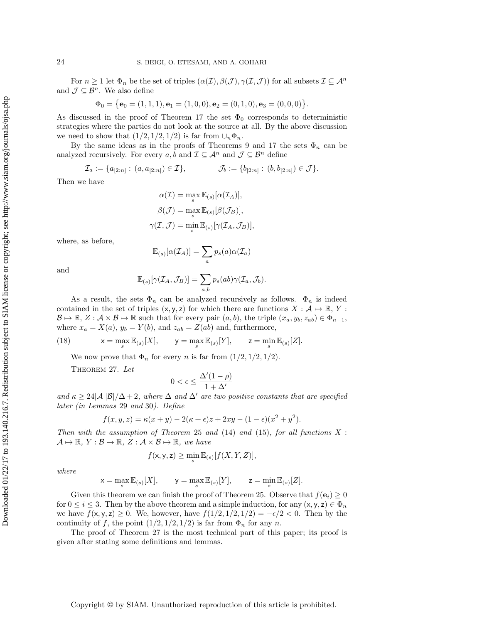For  $n \geq 1$  let  $\Phi_n$  be the set of triples  $(\alpha(\mathcal{I}), \beta(\mathcal{J}), \gamma(\mathcal{I}, \mathcal{J}))$  for all subsets  $\mathcal{I} \subseteq \mathcal{A}^n$ and  $\mathcal{J} \subseteq \mathcal{B}^n.$  We also define

$$
\Phi_0 = \{ \mathbf{e}_0 = (1, 1, 1), \mathbf{e}_1 = (1, 0, 0), \mathbf{e}_2 = (0, 1, 0), \mathbf{e}_3 = (0, 0, 0) \}.
$$

As discussed in the proof of [Theorem 17](#page-16-0) the set  $\Phi_0$  corresponds to deterministic strategies where the parties do not look at the source at all. By the above discussion we need to show that  $(1/2, 1/2, 1/2)$  is far from  $\cup_n \Phi_n$ .

By the same ideas as in the proofs of [Theorems 9](#page-9-0) and [17](#page-16-0) the sets  $\Phi_n$  can be analyzed recursively. For every  $a, b$  and  $\mathcal{I} \subseteq \mathcal{A}^n$  and  $\mathcal{J} \subseteq \mathcal{B}^n$  define

$$
\mathcal{I}_a:=\{a_{[2:n]}:\,(a,a_{[2:n]})\in\mathcal{I}\}, \qquad \qquad \mathcal{J}_b:=\{b_{[2:n]}:\,(b,b_{[2:n]})\in\mathcal{J}\}.
$$

Then we have

$$
\alpha(\mathcal{I}) = \max_{s} \mathbb{E}_{(s)}[\alpha(\mathcal{I}_A)],
$$

$$
\beta(\mathcal{J}) = \max_{s} \mathbb{E}_{(s)}[\beta(\mathcal{J}_B)],
$$

$$
\gamma(\mathcal{I}, \mathcal{J}) = \min_{s} \mathbb{E}_{(s)}[\gamma(\mathcal{I}_A, \mathcal{J}_B)],
$$

where, as before,

$$
\mathbb{E}_{(s)}[\alpha(\mathcal{I}_A)] = \sum_a p_s(a)\alpha(\mathcal{I}_a)
$$

and

$$
\mathbb{E}_{(s)}[\gamma(\mathcal{I}_A, \mathcal{J}_B)] = \sum_{a,b} p_s(ab)\gamma(\mathcal{I}_a, \mathcal{J}_b).
$$

As a result, the sets  $\Phi_n$  can be analyzed recursively as follows.  $\Phi_n$  is indeed contained in the set of triples  $(x, y, z)$  for which there are functions  $X : A \mapsto \mathbb{R}$ , Y:  $\mathcal{B} \mapsto \mathbb{R}, Z : \mathcal{A} \times \mathcal{B} \mapsto \mathbb{R}$  such that for every pair  $(a, b)$ , the triple  $(x_a, y_b, z_{ab}) \in \Phi_{n-1}$ , where  $x_a = X(a)$ ,  $y_b = Y(b)$ , and  $z_{ab} = Z(ab)$  and, furthermore,

(18) 
$$
x = \max_{s} \mathbb{E}_{(s)}[X], \quad y = \max_{s} \mathbb{E}_{(s)}[Y], \quad z = \min_{s} \mathbb{E}_{(s)}[Z].
$$

We now prove that  $\Phi_n$  for every n is far from  $(1/2, 1/2, 1/2)$ .

<span id="page-23-0"></span>THEOREM 27. Let

$$
0<\epsilon\leq \frac{\Delta'(1-\rho)}{1+\Delta'}
$$

and  $\kappa \geq 24|\mathcal{A}||\mathcal{B}|/\Delta+2$ , where  $\Delta$  and  $\Delta'$  are two positive constants that are specified later (in [Lemmas](#page-24-0) 29 and [30](#page-25-0)). Define

$$
f(x, y, z) = \kappa(x + y) - 2(\kappa + \epsilon)z + 2xy - (1 - \epsilon)(x^{2} + y^{2}).
$$

Then with the assumption of [Theorem](#page-21-0) 25 and  $(14)$  and  $(15)$ , for all functions X:  $\mathcal{A} \mapsto \mathbb{R}, Y : \mathcal{B} \mapsto \mathbb{R}, Z : \mathcal{A} \times \mathcal{B} \mapsto \mathbb{R}, we have$ 

$$
f(\mathsf{x}, \mathsf{y}, \mathsf{z}) \ge \min_{s} \mathbb{E}_{(s)}[f(X, Y, Z)],
$$

where

$$
\mathsf{x} = \max_s \mathbb{E}_{(s)}[X], \qquad \mathsf{y} = \max_s \mathbb{E}_{(s)}[Y], \qquad \mathsf{z} = \min_s \mathbb{E}_{(s)}[Z].
$$

Given this theorem we can finish the proof of [Theorem 25.](#page-21-0) Observe that  $f(\mathbf{e}_i) \geq 0$ for  $0 \leq i \leq 3$ . Then by the above theorem and a simple induction, for any  $(x, y, z) \in \Phi_n$ we have  $f(x, y, z) \geq 0$ . We, however, have  $f(1/2, 1/2, 1/2) = -\epsilon/2 < 0$ . Then by the continuity of f, the point  $(1/2, 1/2, 1/2)$  is far from  $\Phi_n$  for any n.

The proof of [Theorem 27](#page-23-0) is the most technical part of this paper; its proof is given after stating some definitions and lemmas.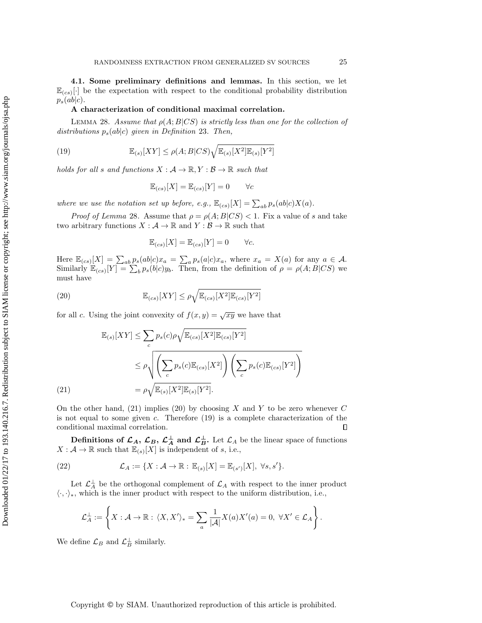4.1. Some preliminary definitions and lemmas. In this section, we let  $\mathbb{E}_{(cs)}[\cdot]$  be the expectation with respect to the conditional probability distribution  $p_s(ab|c)$ .

### A characterization of conditional maximal correlation.

<span id="page-24-1"></span>LEMMA 28. Assume that  $\rho(A;B|CS)$  is strictly less than one for the collection of distributions  $p_s(ab|c)$  given in [Definition](#page-20-2) 23. Then,

<span id="page-24-4"></span>(19) 
$$
\mathbb{E}_{(s)}[XY] \le \rho(A;B|CS)\sqrt{\mathbb{E}_{(s)}[X^2]\mathbb{E}_{(s)}[Y^2]}
$$

holds for all s and functions  $X : \mathcal{A} \to \mathbb{R}, Y : \mathcal{B} \to \mathbb{R}$  such that

$$
\mathbb{E}_{(cs)}[X] = \mathbb{E}_{(cs)}[Y] = 0 \qquad \forall c
$$

where we use the notation set up before, e.g.,  $\mathbb{E}_{(cs)}[X] = \sum_{ab} p_s(ab|c)X(a)$ .

*Proof of [Lemma](#page-24-1) 28.* Assume that  $\rho = \rho(A;B|CS) < 1$ . Fix a value of s and take two arbitrary functions  $X : \mathcal{A} \to \mathbb{R}$  and  $Y : \mathcal{B} \to \mathbb{R}$  such that

$$
\mathbb{E}_{(cs)}[X] = \mathbb{E}_{(cs)}[Y] = 0 \qquad \forall c.
$$

Here  $\mathbb{E}_{(cs)}[X] = \sum_{ab} p_s(ab|c)x_a = \sum_a p_s(a|c)x_a$ , where  $x_a = X(a)$  for any  $a \in \mathcal{A}$ . Similarly  $\mathbb{E}_{(cs)}[Y] = \sum_b p_s(b|c)y_b$ . Then, from the definition of  $\rho = \rho(A;B|CS)$  we must have

<span id="page-24-3"></span>(20) 
$$
\mathbb{E}_{(cs)}[XY] \leq \rho \sqrt{\mathbb{E}_{(cs)}[X^2]\mathbb{E}_{(cs)}[Y^2]}
$$

for all c. Using the joint convexity of  $f(x, y) = \sqrt{xy}$  we have that

$$
\mathbb{E}_{(s)}[XY] \leq \sum_{c} p_s(c)\rho \sqrt{\mathbb{E}_{(cs)}[X^2]\mathbb{E}_{(cs)}[Y^2]}
$$
  

$$
\leq \rho \sqrt{\left(\sum_{c} p_s(c)\mathbb{E}_{(cs)}[X^2]\right)\left(\sum_{c} p_s(c)\mathbb{E}_{(cs)}[Y^2]\right)}
$$
  

$$
= \rho \sqrt{\mathbb{E}_{(s)}[X^2]\mathbb{E}_{(s)}[Y^2]}.
$$
  
(21)

<span id="page-24-2"></span>On the other hand,  $(21)$  implies  $(20)$  by choosing X and Y to be zero whenever C is not equal to some given  $c$ . Therefore  $(19)$  is a complete characterization of the conditional maximal correlation.  $\Box$ 

Definitions of  $\mathcal{L}_A$ ,  $\mathcal{L}_B$ ,  $\mathcal{L}_A^{\perp}$  and  $\mathcal{L}_B^{\perp}$ . Let  $\mathcal{L}_A$  be the linear space of functions  $X: \mathcal{A} \to \mathbb{R}$  such that  $\mathbb{E}_{(s)}[X]$  is independent of s, i.e.,

<span id="page-24-5"></span>(22) 
$$
\mathcal{L}_A := \{ X : \mathcal{A} \to \mathbb{R} : \mathbb{E}_{(s)}[X] = \mathbb{E}_{(s')}[X], \ \forall s, s' \}.
$$

Let  $\mathcal{L}_A^{\perp}$  be the orthogonal complement of  $\mathcal{L}_A$  with respect to the inner product  $\langle \cdot, \cdot \rangle_{\ast}$ , which is the inner product with respect to the uniform distribution, i.e.,

$$
\mathcal{L}_A^{\perp} := \left\{ X : \mathcal{A} \to \mathbb{R} : \langle X, X' \rangle_* = \sum_a \frac{1}{|\mathcal{A}|} X(a) X'(a) = 0, \ \forall X' \in \mathcal{L}_A \right\}.
$$

<span id="page-24-0"></span>We define  $\mathcal{L}_B$  and  $\mathcal{L}_B^{\perp}$  similarly.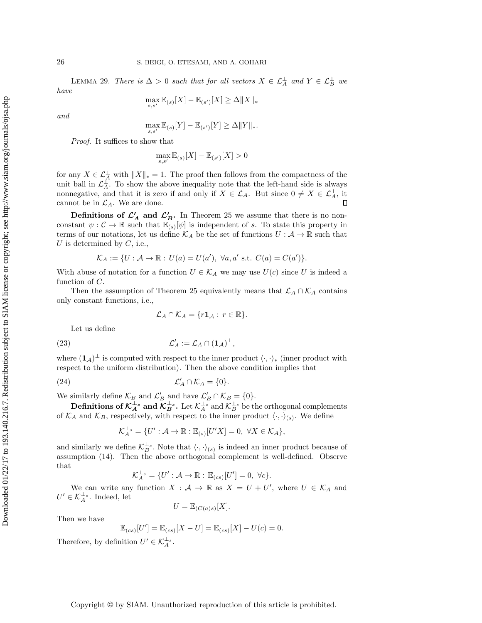LEMMA 29. There is  $\Delta > 0$  such that for all vectors  $X \in \mathcal{L}_A^{\perp}$  and  $Y \in \mathcal{L}_B^{\perp}$  we have

$$
\max_{s,s'} \mathbb{E}_{(s)}[X] - \mathbb{E}_{(s')}[X] \ge \Delta \|X\|_*
$$

and

$$
\max_{s,s'} \mathbb{E}_{(s)}[Y] - \mathbb{E}_{(s')}[Y] \ge \Delta ||Y||_{*}.
$$

Proof. It suffices to show that

$$
\max_{s,s'}\mathbb{E}_{(s)}[X]-\mathbb{E}_{(s')}[X]>0
$$

for any  $X \in \mathcal{L}^{\perp}_{A}$  with  $||X||_{*} = 1$ . The proof then follows from the compactness of the unit ball in  $\mathcal{L}_A^{\perp}$ . To show the above inequality note that the left-hand side is always nonnegative, and that it is zero if and only if  $X \in \mathcal{L}_A$ . But since  $0 \neq X \in \mathcal{L}_A^{\perp}$ , it cannot be in  $\mathcal{L}_A$ . We are done.

**Definitions of**  $\mathcal{L}'_A$  **and**  $\mathcal{L}'_B$ **.** In [Theorem 25](#page-21-0) we assume that there is no nonconstant  $\psi: \mathcal{C} \to \mathbb{R}$  such that  $\mathbb{E}_{(s)}[\psi]$  is independent of s. To state this property in terms of our notations, let us define  $\mathcal{K}_A$  be the set of functions  $U : \mathcal{A} \to \mathbb{R}$  such that U is determined by  $C$ , i.e.,

$$
\mathcal{K}_A := \{ U : \mathcal{A} \to \mathbb{R} : U(a) = U(a'), \ \forall a, a' \text{ s.t. } C(a) = C(a') \}.
$$

With abuse of notation for a function  $U \in \mathcal{K}_A$  we may use  $U(c)$  since U is indeed a function of  $C$ .

Then the assumption of [Theorem 25](#page-21-0) equivalently means that  $\mathcal{L}_A \cap \mathcal{K}_A$  contains only constant functions, i.e.,

$$
\mathcal{L}_A \cap \mathcal{K}_A = \{r\mathbf{1}_{\mathcal{A}} : r \in \mathbb{R}\}.
$$

Let us define

(23) 
$$
\mathcal{L}'_A := \mathcal{L}_A \cap (\mathbf{1}_{\mathcal{A}})^{\perp},
$$

where  $(1_A)^{\perp}$  is computed with respect to the inner product  $\langle \cdot, \cdot \rangle_*$  (inner product with respect to the uniform distribution). Then the above condition implies that

<span id="page-25-1"></span>(24) 
$$
\mathcal{L}'_A \cap \mathcal{K}_A = \{0\}.
$$

We similarly define  $\mathcal{K}_B$  and  $\mathcal{L}'_B$  and have  $\mathcal{L}'_B \cap \mathcal{K}_B = \{0\}.$ 

**Definitions of**  $\mathcal{K}_A^{\perp_s}$  **and**  $\mathcal{K}_B^{\perp_s}$ **.** Let  $\mathcal{K}_A^{\perp_s}$  and  $\mathcal{K}_B^{\perp_s}$  be the orthogonal complements of  $\mathcal{K}_A$  and  $\mathcal{K}_B$ , respectively, with respect to the inner product  $\langle \cdot, \cdot \rangle_{(s)}$ . We define

$$
\mathcal{K}_A^{\perp_s} = \{ U' : \mathcal{A} \to \mathbb{R} : \mathbb{E}_{(s)}[U'X] = 0, \ \forall X \in \mathcal{K}_A \},
$$

and similarly we define  $\mathcal{K}_B^{\perp_s}$ . Note that  $\langle \cdot, \cdot \rangle_{(s)}$  is indeed an inner product because of assumption [\(14\)](#page-21-1). Then the above orthogonal complement is well-defined. Observe that

$$
\mathcal{K}_A^{\perp_s} = \{ U' : A \to \mathbb{R} : \mathbb{E}_{(cs)}[U'] = 0, \ \forall c \}.
$$

We can write any function  $X : \mathcal{A} \to \mathbb{R}$  as  $X = U + U'$ , where  $U \in \mathcal{K}_A$  and  $U' \in \mathcal{K}_A^{\perp_s}$ . Indeed, let

$$
U = \mathbb{E}_{(C(a)s)}[X].
$$

Then we have

$$
\mathbb{E}_{(cs)}[U'] = \mathbb{E}_{(cs)}[X - U] = \mathbb{E}_{(cs)}[X] - U(c) = 0.
$$

<span id="page-25-0"></span>Therefore, by definition  $U' \in \mathcal{K}_A^{\perp_s}$ .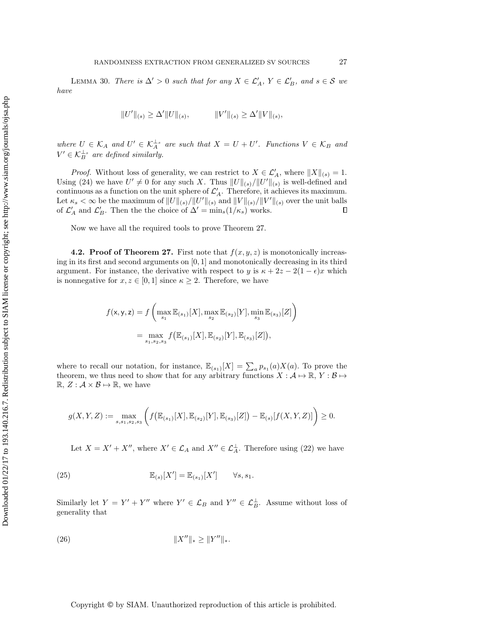LEMMA 30. There is  $\Delta' > 0$  such that for any  $X \in \mathcal{L}'_A$ ,  $Y \in \mathcal{L}'_B$ , and  $s \in \mathcal{S}$  we have

$$
||U'||_{(s)} \ge \Delta' ||U||_{(s)}, \qquad ||V'||_{(s)} \ge \Delta' ||V||_{(s)},
$$

where  $U \in \mathcal{K}_A$  and  $U' \in \mathcal{K}_A^{\perp_s}$  are such that  $X = U + U'$ . Functions  $V \in \mathcal{K}_B$  and  $V' \in \mathcal{K}_B^{\perp_s}$  are defined similarly.

*Proof.* Without loss of generality, we can restrict to  $X \in \mathcal{L}'_A$ , where  $||X||_{(s)} = 1$ . Using [\(24\)](#page-25-1) we have  $U' \neq 0$  for any such X. Thus  $||U||_{(s)}/||U'||_{(s)}$  is well-defined and continuous as a function on the unit sphere of  $\mathcal{L}'_A$ . Therefore, it achieves its maximum. Let  $\kappa_s < \infty$  be the maximum of  $||U||_{(s)}/||U'||_{(s)}$  and  $||V||_{(s)}/||V'||_{(s)}$  over the unit balls of  $\mathcal{L}'_A$  and  $\mathcal{L}'_B$ . Then the the choice of  $\Delta' = \min_s(1/\kappa_s)$  works.

Now we have all the required tools to prove [Theorem 27.](#page-23-0)

**4.2. Proof of [Theorem 27.](#page-23-0)** First note that  $f(x, y, z)$  is monotonically increasing in its first and second arguments on  $[0, 1]$  and monotonically decreasing in its third argument. For instance, the derivative with respect to y is  $\kappa + 2z - 2(1 - \epsilon)x$  which is nonnegative for  $x, z \in [0, 1]$  since  $\kappa \geq 2$ . Therefore, we have

$$
f(\mathbf{x}, \mathbf{y}, \mathbf{z}) = f\left(\max_{s_1} \mathbb{E}_{(s_1)}[X], \max_{s_2} \mathbb{E}_{(s_2)}[Y], \min_{s_3} \mathbb{E}_{(s_3)}[Z]\right)
$$
  
= 
$$
\max_{s_1, s_2, s_3} f\left(\mathbb{E}_{(s_1)}[X], \mathbb{E}_{(s_2)}[Y], \mathbb{E}_{(s_3)}[Z]\right),
$$

where to recall our notation, for instance,  $\mathbb{E}_{(s_1)}[X] = \sum_a p_{s_1}(a)X(a)$ . To prove the theorem, we thus need to show that for any arbitrary functions  $X : A \mapsto \mathbb{R}, Y : B \mapsto$  $\mathbb{R}, Z : \mathcal{A} \times \mathcal{B} \mapsto \mathbb{R}$ , we have

$$
g(X,Y,Z) := \max_{s,s_1,s_2,s_3} \left( f\big(\mathbb{E}_{(s_1)}[X], \mathbb{E}_{(s_2)}[Y], \mathbb{E}_{(s_3)}[Z]\big) - \mathbb{E}_{(s)}[f(X,Y,Z)] \right) \ge 0.
$$

Let  $X = X' + X''$ , where  $X' \in \mathcal{L}_A$  and  $X'' \in \mathcal{L}_A^{\perp}$ . Therefore using [\(22\)](#page-24-5) we have

<span id="page-26-0"></span>(25) 
$$
\mathbb{E}_{(s)}[X'] = \mathbb{E}_{(s_1)}[X'] \qquad \forall s, s_1.
$$

Similarly let  $Y = Y' + Y''$  where  $Y' \in \mathcal{L}_B$  and  $Y'' \in \mathcal{L}_B^{\perp}$ . Assume without loss of generality that

<span id="page-26-1"></span>(26) 
$$
||X''||_* \ge ||Y''||_*.
$$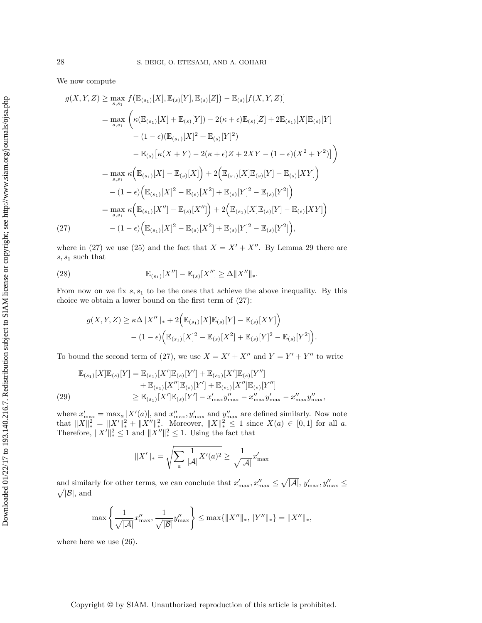We now compute

$$
g(X, Y, Z) \ge \max_{s, s_1} f(\mathbb{E}_{(s_1)}[X], \mathbb{E}_{(s)}[Y], \mathbb{E}_{(s)}[Z]) - \mathbb{E}_{(s)}[f(X, Y, Z)]
$$
  
\n
$$
= \max_{s, s_1} \left( \kappa(\mathbb{E}_{(s_1)}[X] + \mathbb{E}_{(s)}[Y]) - 2(\kappa + \epsilon) \mathbb{E}_{(s)}[Z] + 2\mathbb{E}_{(s_1)}[X]\mathbb{E}_{(s)}[Y] - (1 - \epsilon)(\mathbb{E}_{(s_1)}[X]^2 + \mathbb{E}_{(s)}[Y]^2) - \mathbb{E}_{(s)}[\kappa(X + Y) - 2(\kappa + \epsilon)Z + 2XY - (1 - \epsilon)(X^2 + Y^2)] \right)
$$
  
\n
$$
= \max_{s, s_1} \kappa(\mathbb{E}_{(s_1)}[X] - \mathbb{E}_{(s)}[X]) + 2(\mathbb{E}_{(s_1)}[X]\mathbb{E}_{(s)}[Y] - \mathbb{E}_{(s)}[XY]) - (1 - \epsilon)(\mathbb{E}_{(s_1)}[X]^2 - \mathbb{E}_{(s)}[X^2] + \mathbb{E}_{(s)}[Y]^2 - \mathbb{E}_{(s)}[Y^2])
$$
  
\n
$$
= \max_{s, s_1} \kappa(\mathbb{E}_{(s_1)}[X''] - \mathbb{E}_{(s)}[X'']) + 2(\mathbb{E}_{(s_1)}[X]\mathbb{E}_{(s)}[Y] - \mathbb{E}_{(s)}[XY]) - (1 - \epsilon)(\mathbb{E}_{(s_1)}[X]^2 - \mathbb{E}_{(s)}[Y^2] + \mathbb{E}_{(s)}[Y]^2 - \mathbb{E}_{(s)}[Y^2]),
$$

<span id="page-27-0"></span>where in [\(27\)](#page-27-0) we use [\(25\)](#page-26-0) and the fact that  $X = X' + X''$ . By [Lemma 29](#page-24-0) there are  $s, s<sub>1</sub>$  such that

<span id="page-27-2"></span>(28) 
$$
\mathbb{E}_{(s_1)}[X''] - \mathbb{E}_{(s)}[X''] \geq \Delta ||X''||_*.
$$

From now on we fix  $s, s<sub>1</sub>$  to be the ones that achieve the above inequality. By this choice we obtain a lower bound on the first term of [\(27\)](#page-27-0):

$$
g(X,Y,Z) \ge \kappa \Delta ||X''||_* + 2(\mathbb{E}_{(s_1)}[X]\mathbb{E}_{(s)}[Y] - \mathbb{E}_{(s)}[XY])
$$

$$
- (1 - \epsilon) (\mathbb{E}_{(s_1)}[X]^2 - \mathbb{E}_{(s)}[X^2] + \mathbb{E}_{(s)}[Y]^2 - \mathbb{E}_{(s)}[Y^2]).
$$

To bound the second term of [\(27\)](#page-27-0), we use  $X = X' + X''$  and  $Y = Y' + Y''$  to write

<span id="page-27-1"></span>
$$
\mathbb{E}_{(s_1)}[X]\mathbb{E}_{(s)}[Y] = \mathbb{E}_{(s_1)}[X']\mathbb{E}_{(s)}[Y'] + \mathbb{E}_{(s_1)}[X']\mathbb{E}_{(s)}[Y''] \n+ \mathbb{E}_{(s_1)}[X'']\mathbb{E}_{(s)}[Y'] + \mathbb{E}_{(s_1)}[X'']\mathbb{E}_{(s)}[Y''] \n\geq \mathbb{E}_{(s_1)}[X']\mathbb{E}_{(s)}[Y'] - x'_{\text{max}}y''_{\text{max}} - x''_{\text{max}}y'_{\text{max}} - x''_{\text{max}}y''_{\text{max}},
$$

where  $x'_{\text{max}} = \max_{a} |X'(a)|$ , and  $x''_{\text{max}}$ ,  $y'_{\text{max}}$  and  $y''_{\text{max}}$  are defined similarly. Now note that  $||X||_*^2 = ||X'||_*^2 + ||X''||_*^2$ . Moreover,  $||X||_*^2 \le 1$  since  $X(a) \in [0,1]$  for all a. Therefore,  $||X'||_*^2 \le 1$  and  $||X''||_*^2 \le 1$ . Using the fact that

$$
||X'||_* = \sqrt{\sum_{a} \frac{1}{|\mathcal{A}|} X'(a)^2} \ge \frac{1}{\sqrt{|\mathcal{A}|}} x'_{\text{max}}
$$

and similarly for other terms, we can conclude that  $x'_{\text{max}}, x''_{\text{max}} \leq \sqrt{|\mathcal{A}|}, y'_{\text{max}}, y''_{\text{max}} \leq \sqrt{|\mathcal{B}|}$ , and  $\sqrt{|\mathcal{B}|}$ , and

$$
\max\left\{\frac{1}{\sqrt{|\mathcal{A}|}}x_{\max}''', \frac{1}{\sqrt{|\mathcal{B}|}}y_{\max}''\right\} \le \max\{\|X''\|_*, \|Y''\|_*\} = \|X''\|_*,
$$

where here we use [\(26\)](#page-26-1).

## Copyright © by SIAM. Unauthorized reproduction of this article is prohibited.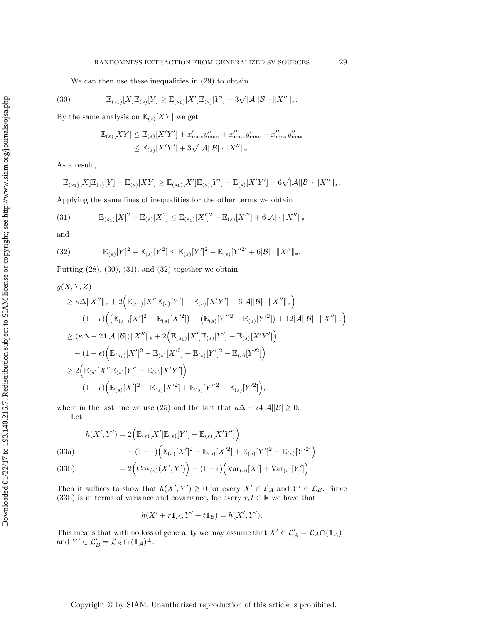We can then use these inequalities in [\(29\)](#page-27-1) to obtain

<span id="page-28-0"></span>(30) 
$$
\mathbb{E}_{(s_1)}[X]\mathbb{E}_{(s)}[Y] \geq \mathbb{E}_{(s_1)}[X']\mathbb{E}_{(s)}[Y'] - 3\sqrt{|\mathcal{A}||\mathcal{B}|} \cdot ||X''||_*.
$$

By the same analysis on  $\mathbb{E}_{(s)}[XY]$  we get

$$
\mathbb{E}_{(s)}[XY] \leq \mathbb{E}_{(s)}[X'Y'] + x'_{\max}y''_{\max} + x''_{\max}y'_{\max} + x''_{\max}y''_{\max}
$$
  

$$
\leq \mathbb{E}_{(s)}[X'Y'] + 3\sqrt{|\mathcal{A}||\mathcal{B}|} \cdot ||X''||_*.
$$

As a result,

$$
\mathbb{E}_{(s_1)}[X]\mathbb{E}_{(s)}[Y] - \mathbb{E}_{(s)}[XY] \geq \mathbb{E}_{(s_1)}[X']\mathbb{E}_{(s)}[Y'] - \mathbb{E}_{(s)}[X'Y'] - 6\sqrt{|A||B|} \cdot \|X''\|_*.
$$

Applying the same lines of inequalities for the other terms we obtain

<span id="page-28-1"></span>(31) 
$$
\mathbb{E}_{(s_1)}[X]^2 - \mathbb{E}_{(s)}[X^2] \leq \mathbb{E}_{(s_1)}[X']^2 - \mathbb{E}_{(s)}[X'^2] + 6|\mathcal{A}| \cdot ||X''||_*
$$

and

<span id="page-28-2"></span>(32) 
$$
\mathbb{E}_{(s)}[Y]^2 - \mathbb{E}_{(s)}[Y^2] \leq \mathbb{E}_{(s)}[Y']^2 - \mathbb{E}_{(s)}[Y'^2] + 6|\mathcal{B}| \cdot ||X''||_*.
$$

Putting  $(28)$ ,  $(30)$ ,  $(31)$ , and  $(32)$  together we obtain

$$
g(X, Y, Z)
$$
  
\n
$$
\geq \kappa \Delta ||X''||_{*} + 2(\mathbb{E}_{(s_{1})}[X']\mathbb{E}_{(s)}[Y'] - \mathbb{E}_{(s)}[X'Y'] - 6|\mathcal{A}||\mathcal{B}| \cdot ||X''||_{*})
$$
  
\n
$$
- (1 - \epsilon) ((\mathbb{E}_{(s_{1})}[X']^{2} - \mathbb{E}_{(s)}[X'^{2}]) + (\mathbb{E}_{(s)}[Y']^{2} - \mathbb{E}_{(s)}[Y'^{2}]) + 12|\mathcal{A}||\mathcal{B}| \cdot ||X''||_{*})
$$
  
\n
$$
\geq (\kappa \Delta - 24|\mathcal{A}||\mathcal{B}|) ||X''||_{*} + 2(\mathbb{E}_{(s_{1})}[X']\mathbb{E}_{(s)}[Y'] - \mathbb{E}_{(s)}[X'Y'])
$$
  
\n
$$
- (1 - \epsilon) (\mathbb{E}_{(s_{1})}[X']^{2} - \mathbb{E}_{(s)}[X'^{2}] + \mathbb{E}_{(s)}[Y']^{2} - \mathbb{E}_{(s)}[Y'^{2}])
$$
  
\n
$$
\geq 2(\mathbb{E}_{(s)}[X']\mathbb{E}_{(s)}[Y'] - \mathbb{E}_{(s)}[X'Y'])
$$
  
\n
$$
- (1 - \epsilon) (\mathbb{E}_{(s)}[X']^{2} - \mathbb{E}_{(s)}[X'^{2}] + \mathbb{E}_{(s)}[Y']^{2} - \mathbb{E}_{(s)}[Y'^{2}]),
$$

where in the last line we use [\(25\)](#page-26-0) and the fact that  $\kappa \Delta - 24|\mathcal{A}||\mathcal{B}| \geq 0$ . Let

(33a)  

$$
h(X', Y') = 2\Big(\mathbb{E}_{(s)}[X']\mathbb{E}_{(s)}[Y'] - \mathbb{E}_{(s)}[X'Y']\Big) - (1 - \epsilon)\Big(\mathbb{E}_{(s)}[X']^2 - \mathbb{E}_{(s)}[X'^2] + \mathbb{E}_{(s)}[Y']^2 - \mathbb{E}_{(s)}[Y'^2]\Big),
$$

<span id="page-28-3"></span>(33b)  $= 2(\text{Cov}_{(s)}(X', Y')) + (1 - \epsilon) (\text{Var}_{(s)}[X'] + \text{Var}_{(s)}[Y'])$ .

Then it suffices to show that  $h(X', Y') \geq 0$  for every  $X' \in \mathcal{L}_A$  and  $Y' \in \mathcal{L}_B$ . Since [\(33b\)](#page-28-3) is in terms of variance and covariance, for every  $r, t \in \mathbb{R}$  we have that

$$
h(X' + r\mathbf{1}_{\mathcal{A}}, Y' + t\mathbf{1}_{\mathcal{B}}) = h(X', Y').
$$

This means that with no loss of generality we may assume that  $X' \in \mathcal{L}'_A = \mathcal{L}_A \cap (1_A)^{\perp}$ and  $Y' \in \mathcal{L}'_B = \mathcal{L}_B \cap (\mathbf{1}_{\mathcal{A}})^{\perp}$ .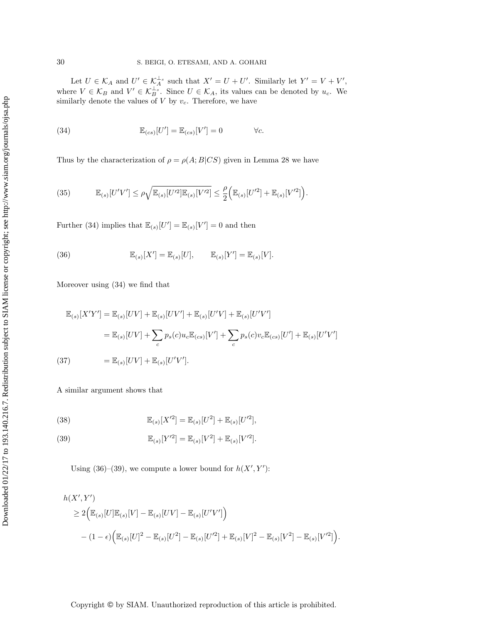Let  $U \in \mathcal{K}_A$  and  $U' \in \mathcal{K}_A^{\perp_s}$  such that  $X' = U + U'$ . Similarly let  $Y' = V + V'$ , where  $V \in \mathcal{K}_B$  and  $V' \in \mathcal{K}_B^{\perp_s}$ . Since  $U \in \mathcal{K}_A$ , its values can be denoted by  $u_c$ . We similarly denote the values of  $V$  by  $v_c$ . Therefore, we have

<span id="page-29-0"></span>(34) 
$$
\mathbb{E}_{(cs)}[U'] = \mathbb{E}_{(cs)}[V'] = 0 \qquad \forall c.
$$

Thus by the characterization of  $\rho = \rho(A;B|CS)$  given in [Lemma 28](#page-24-1) we have

<span id="page-29-3"></span>(35) 
$$
\mathbb{E}_{(s)}[U'V'] \leq \rho \sqrt{\mathbb{E}_{(s)}[U'^2]\mathbb{E}_{(s)}[V'^2]} \leq \frac{\rho}{2} \Big( \mathbb{E}_{(s)}[U'^2] + \mathbb{E}_{(s)}[V'^2] \Big).
$$

Further [\(34\)](#page-29-0) implies that  $\mathbb{E}_{(s)}[U'] = \mathbb{E}_{(s)}[V'] = 0$  and then

<span id="page-29-1"></span>(36) 
$$
\mathbb{E}_{(s)}[X'] = \mathbb{E}_{(s)}[U], \qquad \mathbb{E}_{(s)}[Y'] = \mathbb{E}_{(s)}[V].
$$

Moreover using [\(34\)](#page-29-0) we find that

$$
\mathbb{E}_{(s)}[X'Y'] = \mathbb{E}_{(s)}[UV] + \mathbb{E}_{(s)}[UV'] + \mathbb{E}_{(s)}[U'V] + \mathbb{E}_{(s)}[U'V']
$$
  
\n
$$
= \mathbb{E}_{(s)}[UV] + \sum_{c} p_s(c)u_c \mathbb{E}_{(cs)}[V'] + \sum_{c} p_s(c)v_c \mathbb{E}_{(cs)}[U'] + \mathbb{E}_{(s)}[U'V']
$$
  
\n(37) 
$$
= \mathbb{E}_{(s)}[UV] + \mathbb{E}_{(s)}[U'V'].
$$

A similar argument shows that

(38) 
$$
\mathbb{E}_{(s)}[X'^2] = \mathbb{E}_{(s)}[U^2] + \mathbb{E}_{(s)}[U'^2],
$$

<span id="page-29-2"></span>(39) 
$$
\mathbb{E}_{(s)}[Y'^2] = \mathbb{E}_{(s)}[V^2] + \mathbb{E}_{(s)}[V'^2].
$$

Using [\(36\)](#page-29-1)–[\(39\)](#page-29-2), we compute a lower bound for  $h(X', Y')$ :

$$
h(X', Y')\n\geq 2(\mathbb{E}_{(s)}[U]\mathbb{E}_{(s)}[V] - \mathbb{E}_{(s)}[UV] - \mathbb{E}_{(s)}[U'V']\n)- (1 - \epsilon)\left(\mathbb{E}_{(s)}[U]^2 - \mathbb{E}_{(s)}[U^2] - \mathbb{E}_{(s)}[U'^2] + \mathbb{E}_{(s)}[V]^2 - \mathbb{E}_{(s)}[V^2] - \mathbb{E}_{(s)}[V'^2]\right).
$$

Copyright © by SIAM. Unauthorized reproduction of this article is prohibited.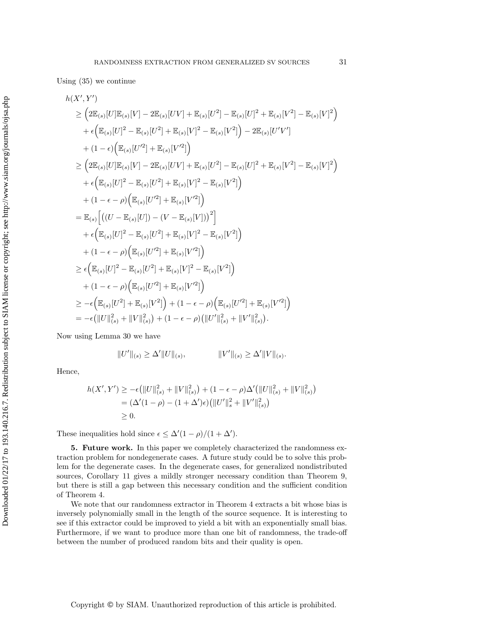Using [\(35\)](#page-29-3) we continue

$$
h(X', Y')\n\geq (2\mathbb{E}_{(s)}[U]\mathbb{E}_{(s)}[V] - 2\mathbb{E}_{(s)}[UV] + \mathbb{E}_{(s)}[U^2] - \mathbb{E}_{(s)}[U]^2 + \mathbb{E}_{(s)}[V^2] - \mathbb{E}_{(s)}[V]^2
$$
\n
$$
+ \epsilon (\mathbb{E}_{(s)}[U]^2 - \mathbb{E}_{(s)}[U^2] + \mathbb{E}_{(s)}[V]^2 - \mathbb{E}_{(s)}[V^2] - 2\mathbb{E}_{(s)}[U'V']
$$
\n
$$
+ (1 - \epsilon) (\mathbb{E}_{(s)}[U'^2] + \mathbb{E}_{(s)}[V'^2])
$$
\n
$$
\geq (2\mathbb{E}_{(s)}[U]\mathbb{E}_{(s)}[V] - 2\mathbb{E}_{(s)}[UV] + \mathbb{E}_{(s)}[U^2] - \mathbb{E}_{(s)}[U]^2 + \mathbb{E}_{(s)}[V^2] - \mathbb{E}_{(s)}[V]^2
$$
\n
$$
+ \epsilon (\mathbb{E}_{(s)}[U]^2 - \mathbb{E}_{(s)}[U^2] + \mathbb{E}_{(s)}[V]^2 - \mathbb{E}_{(s)}[V^2])
$$
\n
$$
+ (1 - \epsilon - \rho) (\mathbb{E}_{(s)}[U'^2] + \mathbb{E}_{(s)}[V'^2])
$$
\n
$$
= \mathbb{E}_{(s)} [(U - \mathbb{E}_{(s)}[U]) - (V - \mathbb{E}_{(s)}[V]))^2]
$$
\n
$$
+ \epsilon (\mathbb{E}_{(s)}[U]^2 - \mathbb{E}_{(s)}[U^2] + \mathbb{E}_{(s)}[V]^2 - \mathbb{E}_{(s)}[V^2])
$$
\n
$$
+ (1 - \epsilon - \rho) (\mathbb{E}_{(s)}[U'^2] + \mathbb{E}_{(s)}[V'^2])
$$
\n
$$
\geq \epsilon (\mathbb{E}_{(s)}[U]^2 - \mathbb{E}_{(s)}[U'^2] + \mathbb{E}_{(s)}[V'^2])
$$
\n
$$
+ (1 - \epsilon - \rho) (\mathbb{E}_{(s)}[U'^2] + \mathbb{E}_{(s)}[V'^2])
$$
\n

Now using [Lemma 30](#page-25-0) we have

 $||U'||_{(s)} \ge \Delta' ||U||_{(s)},$   $||V'||_{(s)} \ge \Delta' ||V||_{(s)}.$ 

Hence,

$$
h(X', Y') \ge -\epsilon (||U||_{(s)}^2 + ||V||_{(s)}^2) + (1 - \epsilon - \rho)\Delta' (||U||_{(s)}^2 + ||V||_{(s)}^2)
$$
  
=  $(\Delta'(1 - \rho) - (1 + \Delta')\epsilon) (||U'||_s^2 + ||V'||_{(s)}^2)$   
 $\ge 0.$ 

These inequalities hold since  $\epsilon \leq \Delta'(1 - \rho)/(1 + \Delta')$ .

5. Future work. In this paper we completely characterized the randomness extraction problem for nondegenerate cases. A future study could be to solve this problem for the degenerate cases. In the degenerate cases, for generalized nondistributed sources, [Corollary 11](#page-13-2) gives a mildly stronger necessary condition than [Theorem 9,](#page-9-0) but there is still a gap between this necessary condition and the sufficient condition of [Theorem 4.](#page-7-0)

We note that our randomness extractor in [Theorem 4](#page-7-0) extracts a bit whose bias is inversely polynomially small in the length of the source sequence. It is interesting to see if this extractor could be improved to yield a bit with an exponentially small bias. Furthermore, if we want to produce more than one bit of randomness, the trade-off between the number of produced random bits and their quality is open.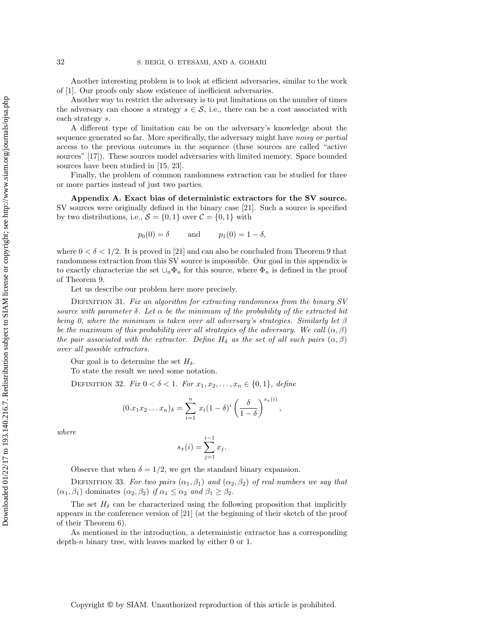Another interesting problem is to look at efficient adversaries, similar to the work of [\[1\]](#page-34-0). Our proofs only show existence of inefficient adversaries.

Another way to restrict the adversary is to put limitations on the number of times the adversary can choose a strategy  $s \in \mathcal{S}$ , i.e., there can be a cost associated with each strategy s.

A different type of limitation can be on the adversary's knowledge about the sequence generated so far. More specifically, the adversary might have noisy or partial access to the previous outcomes in the sequence (these sources are called "active sources" [\[17\]](#page-35-20)). These sources model adversaries with limited memory. Space bounded sources have been studied in [\[15,](#page-35-21) [23\]](#page-35-22).

Finally, the problem of common randomness extraction can be studied for three or more parties instead of just two parties.

<span id="page-31-0"></span>Appendix A. Exact bias of deterministic extractors for the SV source. SV sources were originally defined in the binary case [\[21\]](#page-35-4). Such a source is specified by two distributions, i.e.,  $S = \{0, 1\}$  over  $C = \{0, 1\}$  with

$$
p_0(0) = \delta
$$
 and  $p_1(0) = 1 - \delta$ ,

where  $0 < \delta < 1/2$ . It is proved in [\[21\]](#page-35-4) and can also be concluded from [Theorem 9](#page-9-0) that randomness extraction from this SV source is impossible. Our goal in this appendix is to exactly characterize the set  $\cup_n \Phi_n$  for this source, where  $\Phi_n$  is defined in the proof of [Theorem 9.](#page-9-0)

Let us describe our problem here more precisely.

DEFINITION 31. Fix an algorithm for extracting randomness from the binary SV source with parameter  $\delta$ . Let  $\alpha$  be the minimum of the probability of the extracted bit being 0, where the minimum is taken over all adversary's strategies. Similarly let  $\beta$ be the maximum of this probability over all strategies of the adversary. We call  $(\alpha, \beta)$ the pair associated with the extractor. Define  $H_\delta$  as the set of all such pairs  $(\alpha, \beta)$ over all possible extractors.

Our goal is to determine the set  $H_\delta$ .

To state the result we need some notation.

DEFINITION 32. Fix  $0 < \delta < 1$ . For  $x_1, x_2, ..., x_n \in \{0, 1\}$ , define

$$
(0.x_1x_2\ldots x_n)_\delta=\sum_{i=1}^n x_i(1-\delta)^i\left(\frac{\delta}{1-\delta}\right)^{s_x(i)},
$$

where

$$
s_x(i) = \sum_{j=1}^{i-1} x_j.
$$

Observe that when  $\delta = 1/2$ , we get the standard binary expansion.

DEFINITION 33. For two pairs  $(\alpha_1, \beta_1)$  and  $(\alpha_2, \beta_2)$  of real numbers we say that  $(\alpha_1, \beta_1)$  dominates  $(\alpha_2, \beta_2)$  if  $\alpha_1 \leq \alpha_2$  and  $\beta_1 \geq \beta_2$ .

The set  $H_{\delta}$  can be characterized using the following proposition that implicitly appears in the conference version of [\[21\]](#page-35-4) (at the beginning of their sketch of the proof of their Theorem 6).

<span id="page-31-1"></span>As mentioned in the introduction, a deterministic extractor has a corresponding depth-n binary tree, with leaves marked by either 0 or 1.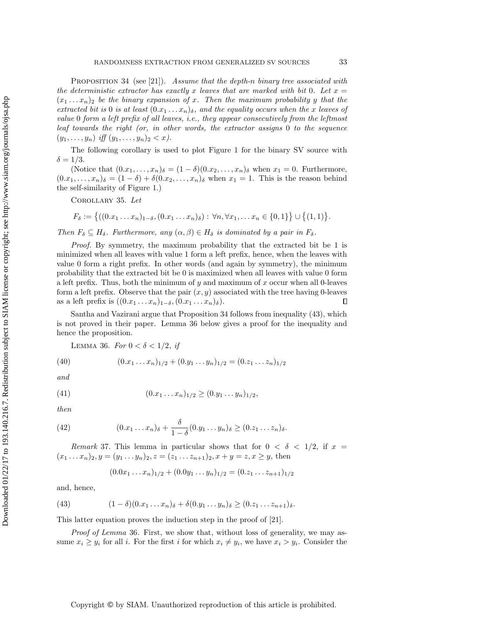PROPOSITION 34 (see [\[21\]](#page-35-4)). Assume that the depth-n binary tree associated with the deterministic extractor has exactly x leaves that are marked with bit 0. Let  $x =$  $(x_1 \ldots x_n)_2$  be the binary expansion of x. Then the maximum probability y that the extracted bit is 0 is at least  $(0.x_1 \ldots x_n)_{\delta}$ , and the equality occurs when the x leaves of value 0 form a left prefix of all leaves, i.e., they appear consecutively from the leftmost leaf towards the right (or, in other words, the extractor assigns 0 to the sequence  $(y_1, \ldots, y_n)$  iff  $(y_1, \ldots, y_n)_2 < x$ .

The following corollary is used to plot [Figure 1](#page-12-0) for the binary SV source with  $\delta = 1/3$ .

(Notice that  $(0.x_1,\ldots,x_n)_{\delta}=(1-\delta)(0.x_2,\ldots,x_n)_{\delta}$  when  $x_1=0$ . Furthermore,  $(0.x_1, \ldots, x_n)_{\delta} = (1 - \delta) + \delta(0.x_2, \ldots, x_n)_{\delta}$  when  $x_1 = 1$ . This is the reason behind the self-similarity of [Figure 1.](#page-12-0))

<span id="page-32-0"></span>Corollary 35. Let

$$
F_{\delta} := \{((0.x_1 \ldots x_n)_{1-\delta}, (0.x_1 \ldots x_n)_{\delta}) : \forall n, \forall x_1, \ldots x_n \in \{0,1\}\} \cup \{(1,1)\}.
$$

Then  $F_{\delta} \subseteq H_{\delta}$ . Furthermore, any  $(\alpha, \beta) \in H_{\delta}$  is dominated by a pair in  $F_{\delta}$ .

Proof. By symmetry, the maximum probability that the extracted bit be 1 is minimized when all leaves with value 1 form a left prefix, hence, when the leaves with value 0 form a right prefix. In other words (and again by symmetry), the minimum probability that the extracted bit be 0 is maximized when all leaves with value 0 form a left prefix. Thus, both the minimum of y and maximum of  $x$  occur when all 0-leaves form a left prefix. Observe that the pair  $(x, y)$  associated with the tree having 0-leaves as a left prefix is  $((0.x_1 \ldots x_n)_{1-\delta}, (0.x_1 \ldots x_n)_{\delta}).$  $\Box$ 

Santha and Vazirani argue that [Proposition 34](#page-31-1) follows from inequality [\(43\)](#page-32-1), which is not proved in their paper. [Lemma 36](#page-32-2) below gives a proof for the inequality and hence the proposition.

<span id="page-32-5"></span><span id="page-32-3"></span><span id="page-32-2"></span>LEMMA 36. For  $0 < \delta < 1/2$ , if

(40) 
$$
(0.x_1 \dots x_n)_{1/2} + (0.y_1 \dots y_n)_{1/2} = (0.x_1 \dots x_n)_{1/2}
$$

and

(41) 
$$
(0.x_1 \ldots x_n)_{1/2} \ge (0.y_1 \ldots y_n)_{1/2},
$$

then

(42) 
$$
(0.x_1 \dots x_n)_{\delta} + \frac{\delta}{1-\delta}(0.y_1 \dots y_n)_{\delta} \ge (0.z_1 \dots z_n)_{\delta}.
$$

Remark 37. This lemma in particular shows that for  $0 < \delta < 1/2$ , if  $x =$  $(x_1 \ldots x_n)_2, y = (y_1 \ldots y_n)_2, z = (z_1 \ldots z_{n+1})_2, x + y = z, x \geq y$ , then

<span id="page-32-4"></span>
$$
(0.0x_1 \dots x_n)_{1/2} + (0.0y_1 \dots y_n)_{1/2} = (0.z_1 \dots z_{n+1})_{1/2}
$$

and, hence,

<span id="page-32-1"></span>(43) 
$$
(1-\delta)(0.x_1 \ldots x_n)\delta + \delta(0.y_1 \ldots y_n)\delta \geq (0.x_1 \ldots x_{n+1})\delta.
$$

This latter equation proves the induction step in the proof of [\[21\]](#page-35-4).

Proof of [Lemma](#page-32-2) 36. First, we show that, without loss of generality, we may assume  $x_i \geq y_i$  for all i. For the first i for which  $x_i \neq y_i$ , we have  $x_i > y_i$ . Consider the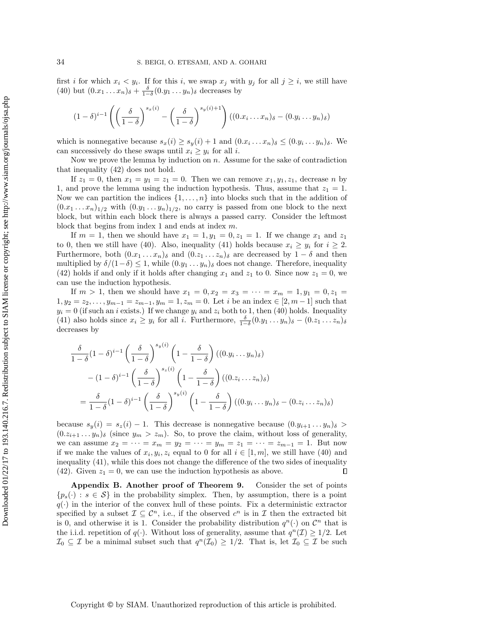first i for which  $x_i \leq y_i$ . If for this i, we swap  $x_j$  with  $y_j$  for all  $j \geq i$ , we still have [\(40\)](#page-32-3) but  $(0.x_1 \ldots x_n)_{\delta} + \frac{\delta}{1-\delta}(0.y_1 \ldots y_n)_{\delta}$  decreases by

$$
(1-\delta)^{i-1}\left(\left(\frac{\delta}{1-\delta}\right)^{s_x(i)}-\left(\frac{\delta}{1-\delta}\right)^{s_y(i)+1}\right)((0.x_i \dots x_n)_{\delta}-(0.y_i \dots y_n)_{\delta})
$$

which is nonnegative because  $s_x(i) \ge s_y(i) + 1$  and  $(0.x_i \dots x_n)_{\delta} \le (0.y_i \dots y_n)_{\delta}$ . We can successively do these swaps until  $x_i \geq y_i$  for all i.

Now we prove the lemma by induction on  $n$ . Assume for the sake of contradiction that inequality [\(42\)](#page-32-4) does not hold.

If  $z_1 = 0$ , then  $x_1 = y_1 = z_1 = 0$ . Then we can remove  $x_1, y_1, z_1$ , decrease n by 1, and prove the lemma using the induction hypothesis. Thus, assume that  $z_1 = 1$ . Now we can partition the indices  $\{1, \ldots, n\}$  into blocks such that in the addition of  $(0.x_1 \ldots x_n)_{1/2}$  with  $(0.y_1 \ldots y_n)_{1/2}$ , no carry is passed from one block to the next block, but within each block there is always a passed carry. Consider the leftmost block that begins from index 1 and ends at index m.

If  $m = 1$ , then we should have  $x_1 = 1, y_1 = 0, z_1 = 1$ . If we change  $x_1$  and  $z_1$ to 0, then we still have [\(40\)](#page-32-3). Also, inequality [\(41\)](#page-32-5) holds because  $x_i \geq y_i$  for  $i \geq 2$ . Furthermore, both  $(0.x_1 \ldots x_n)_{\delta}$  and  $(0.x_1 \ldots x_n)_{\delta}$  are decreased by  $1 - \delta$  and then multiplied by  $\delta/(1-\delta) \leq 1$ , while  $(0.y_1 \ldots y_n)_{\delta}$  does not change. Therefore, inequality [\(42\)](#page-32-4) holds if and only if it holds after changing  $x_1$  and  $z_1$  to 0. Since now  $z_1 = 0$ , we can use the induction hypothesis.

If  $m > 1$ , then we should have  $x_1 = 0, x_2 = x_3 = \cdots = x_m = 1, y_1 = 0, z_1 =$  $1, y_2 = z_2, \ldots, y_{m-1} = z_{m-1}, y_m = 1, z_m = 0.$  Let i be an index  $\in [2, m-1]$  such that  $y_i = 0$  (if such an i exists.) If we change  $y_i$  and  $z_i$  both to 1, then [\(40\)](#page-32-3) holds. Inequality [\(41\)](#page-32-5) also holds since  $x_i \geq y_i$  for all i. Furthermore,  $\frac{\delta}{1-\delta}(0.y_1 \dots y_n)_{\delta} - (0.z_1 \dots z_n)_{\delta}$ decreases by

$$
\frac{\delta}{1-\delta} (1-\delta)^{i-1} \left(\frac{\delta}{1-\delta}\right)^{s_y(i)} \left(1-\frac{\delta}{1-\delta}\right) ((0.y_i \dots y_n)_{\delta})
$$

$$
- (1-\delta)^{i-1} \left(\frac{\delta}{1-\delta}\right)^{s_z(i)} \left(1-\frac{\delta}{1-\delta}\right) ((0.z_i \dots z_n)_{\delta})
$$

$$
= \frac{\delta}{1-\delta} (1-\delta)^{i-1} \left(\frac{\delta}{1-\delta}\right)^{s_y(i)} \left(1-\frac{\delta}{1-\delta}\right) ((0.y_i \dots y_n)_{\delta} - (0.z_i \dots z_n)_{\delta})
$$

because  $s_y(i) = s_z(i) - 1$ . This decrease is nonnegative because  $(0, y_{i+1}, \ldots, y_n)_{\delta} >$  $(0.z_{i+1} \t ... y_n)$ <sub>δ</sub> (since  $y_m > z_m$ ). So, to prove the claim, without loss of generality, we can assume  $x_2 = \cdots = x_m = y_2 = \cdots = y_m = z_1 = \cdots = z_{m-1} = 1$ . But now if we make the values of  $x_i, y_i, z_i$  equal to 0 for all  $i \in [1, m]$ , we still have [\(40\)](#page-32-3) and inequality [\(41\)](#page-32-5), while this does not change the difference of the two sides of inequality [\(42\)](#page-32-4). Given  $z_1 = 0$ , we can use the induction hypothesis as above.  $\Box$ 

<span id="page-33-0"></span>Appendix B. Another proof of [Theorem 9.](#page-9-0) Consider the set of points  ${p_s(\cdot): s \in \mathcal{S}}$  in the probability simplex. Then, by assumption, there is a point  $q(\cdot)$  in the interior of the convex hull of these points. Fix a deterministic extractor specified by a subset  $\mathcal{I} \subseteq \mathcal{C}^n$ , i.e., if the observed  $c^n$  is in  $\mathcal{I}$  then the extracted bit is 0, and otherwise it is 1. Consider the probability distribution  $q^n(\cdot)$  on  $\mathcal{C}^n$  that is the i.i.d. repetition of  $q(.)$ . Without loss of generality, assume that  $q^n(\mathcal{I}) \geq 1/2$ . Let  $\mathcal{I}_0 \subseteq \mathcal{I}$  be a minimal subset such that  $q^n(\mathcal{I}_0) \geq 1/2$ . That is, let  $\mathcal{I}_0 \subseteq \mathcal{I}$  be such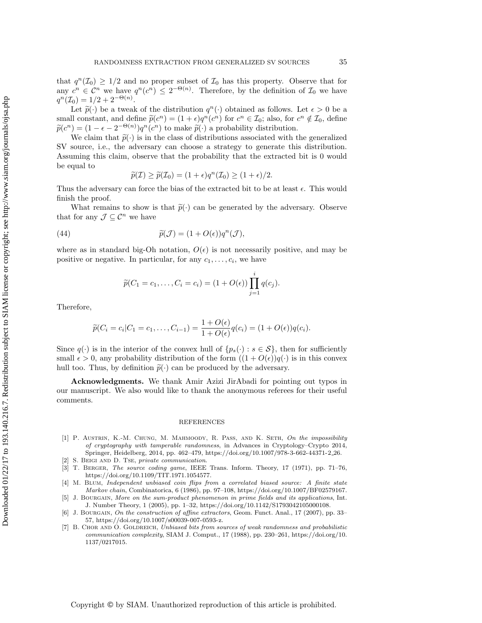that  $q^{n}(\mathcal{I}_{0}) \geq 1/2$  and no proper subset of  $\mathcal{I}_{0}$  has this property. Observe that for any  $c^n \in \mathcal{C}^n$  we have  $q^n(c^n) \leq 2^{-\Theta(n)}$ . Therefore, by the definition of  $\mathcal{I}_0$  we have  $q^{n}(\mathcal{I}_0) = 1/2 + 2^{-\Theta(n)}.$ 

Let  $\tilde{p}(\cdot)$  be a tweak of the distribution  $q^n(\cdot)$  obtained as follows. Let  $\epsilon > 0$  be a legal constant, and define  $\tilde{p}(\epsilon^n) = (1 + \epsilon)q^n(\epsilon^n)$  for  $\epsilon^n \in \mathcal{I}_s$ ; also for  $\epsilon^n \notin \mathcal{I}_s$  define small constant, and define  $\tilde{p}(c^n) = (1 + \epsilon)q^n(c^n)$  for  $c^n \in \mathcal{I}_0$ ; also, for  $c^n \notin \mathcal{I}_0$ , define  $\tilde{\tilde{p}}(c^n) = (1 - \epsilon)q^n(c^n)$  to make  $\tilde{\tilde{p}}(c)$  a probability distribution  $\widetilde{p}(c^n) = (1 - \epsilon - 2^{-\Theta(n)})q^n(c^n)$  to make  $\widetilde{p}(\cdot)$  a probability distribution.<br>We alsimit that  $\widetilde{p}(\cdot)$  is in the class of distributions associated with t

We claim that  $\tilde{p}(\cdot)$  is in the class of distributions associated with the generalized SV source, i.e., the adversary can choose a strategy to generate this distribution. Assuming this claim, observe that the probability that the extracted bit is 0 would be equal to

$$
\widetilde{p}(\mathcal{I}) \ge \widetilde{p}(\mathcal{I}_0) = (1 + \epsilon)q^n(\mathcal{I}_0) \ge (1 + \epsilon)/2.
$$

Thus the adversary can force the bias of the extracted bit to be at least  $\epsilon$ . This would finish the proof.

What remains to show is that  $\tilde{p}(\cdot)$  can be generated by the adversary. Observe that for any  $\mathcal{J} \subseteq \mathcal{C}^n$  we have

(44) 
$$
\widetilde{p}(\mathcal{J}) = (1 + O(\epsilon))q^{n}(\mathcal{J}),
$$

where as in standard big-Oh notation,  $O(\epsilon)$  is not necessarily positive, and may be positive or negative. In particular, for any  $c_1, \ldots, c_i$ , we have

$$
\widetilde{p}(C_1 = c_1, ..., C_i = c_i) = (1 + O(\epsilon)) \prod_{j=1}^{i} q(c_j).
$$

Therefore,

$$
\widetilde{p}(C_i = c_i | C_1 = c_1, ..., C_{i-1}) = \frac{1 + O(\epsilon)}{1 + O(\epsilon)} q(c_i) = (1 + O(\epsilon)) q(c_i).
$$

Since  $q(\cdot)$  is in the interior of the convex hull of  $\{p_s(\cdot) : s \in \mathcal{S}\}\)$ , then for sufficiently small  $\epsilon > 0$ , any probability distribution of the form  $((1 + O(\epsilon))q(\cdot))$  is in this convex hull too. Thus, by definition  $\tilde{p}(\cdot)$  can be produced by the adversary.

Acknowledgments. We thank Amir Azizi JirAbadi for pointing out typos in our manuscript. We also would like to thank the anonymous referees for their useful comments.

#### REFERENCES

- <span id="page-34-0"></span>[1] P. AUSTRIN, K.-M. CHUNG, M. MAHMOODY, R. PASS, AND K. SETH, On the impossibility of cryptography with tamperable randomness, in Advances in Cryptology–Crypto 2014, Springer, Heidelberg, 2014, pp. 462–479, [https://doi.org/10.1007/978-3-662-44371-2](https://doi.org/10.1007/978-3-662-44371-2_26) 26.
- <span id="page-34-6"></span>[2] S. Beigi and D. Tse, private communication.
- <span id="page-34-5"></span>[3] T. Berger, The source coding game, IEEE Trans. Inform. Theory, 17 (1971), pp. 71–76, [https://doi.org/10.1109/TIT.1971.1054577.](https://doi.org/10.1109/TIT.1971.1054577)
- <span id="page-34-2"></span>[4] M. Blum, Independent unbiased coin flips from a correlated biased source: A finite state Markov chain, Combinatorica, 6 (1986), pp. 97–108, [https://doi.org/10.1007/BF02579167.](https://doi.org/10.1007/BF02579167)
- <span id="page-34-4"></span>[5] J. Bourgain, More on the sum-product phenomenon in prime fields and its applications, Int. J. Number Theory, 1 (2005), pp. 1–32, [https://doi.org/10.1142/S1793042105000108.](https://doi.org/10.1142/S1793042105000108)
- <span id="page-34-3"></span>[6] J. Bourgain, On the construction of affine extractors, Geom. Funct. Anal., 17 (2007), pp. 33– 57, [https://doi.org/10.1007/s00039-007-0593-z.](https://doi.org/10.1007/s00039-007-0593-z)
- <span id="page-34-1"></span>[7] B. CHOR AND O. GOLDREICH, Unbiased bits from sources of weak randomness and probabilistic communication complexity, SIAM J. Comput., 17 (1988), pp. 230–261, [https://doi.org/10.](https://doi.org/10.1137/0217015) [1137/0217015.](https://doi.org/10.1137/0217015)